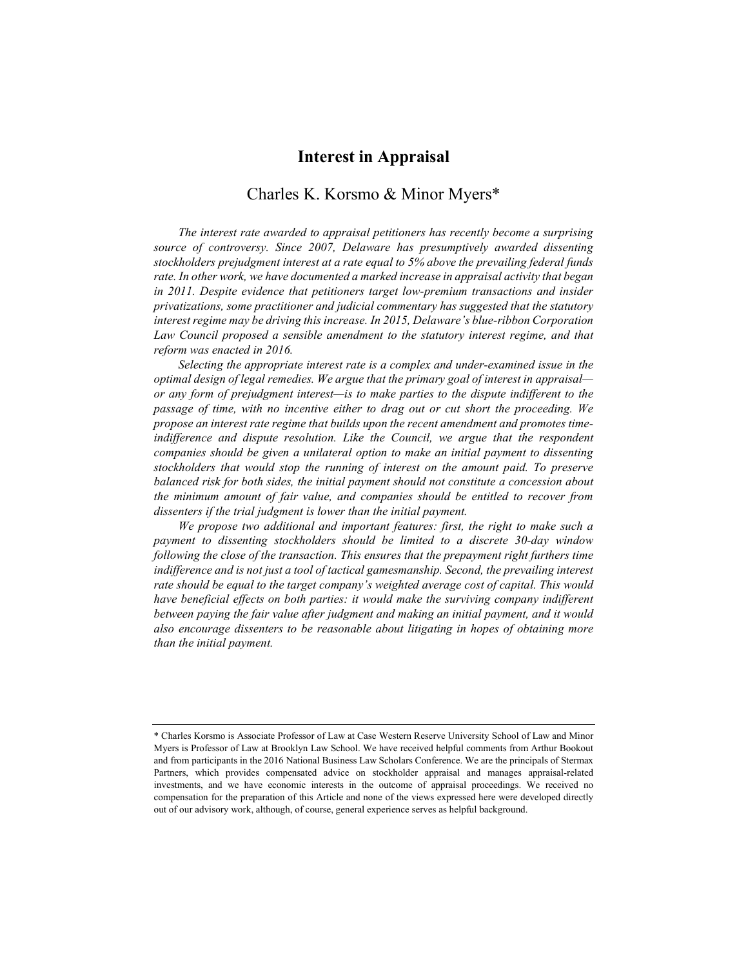# Interest in Appraisal

# Charles K. Korsmo & Minor Myers\*

The interest rate awarded to appraisal petitioners has recently become a surprising source of controversy. Since 2007, Delaware has presumptively awarded dissenting stockholders prejudgment interest at a rate equal to 5% above the prevailing federal funds rate. In other work, we have documented a marked increase in appraisal activity that began in 2011. Despite evidence that petitioners target low-premium transactions and insider privatizations, some practitioner and judicial commentary has suggested that the statutory interest regime may be driving this increase. In 2015, Delaware's blue-ribbon Corporation Law Council proposed a sensible amendment to the statutory interest regime, and that reform was enacted in 2016.

Selecting the appropriate interest rate is a complex and under-examined issue in the optimal design of legal remedies. We argue that the primary goal of interest in appraisal or any form of prejudgment interest—is to make parties to the dispute indifferent to the passage of time, with no incentive either to drag out or cut short the proceeding. We propose an interest rate regime that builds upon the recent amendment and promotes timeindifference and dispute resolution. Like the Council, we argue that the respondent companies should be given a unilateral option to make an initial payment to dissenting stockholders that would stop the running of interest on the amount paid. To preserve balanced risk for both sides, the initial payment should not constitute a concession about the minimum amount of fair value, and companies should be entitled to recover from dissenters if the trial judgment is lower than the initial payment.

We propose two additional and important features: first, the right to make such a payment to dissenting stockholders should be limited to a discrete 30-day window following the close of the transaction. This ensures that the prepayment right furthers time indifference and is not just a tool of tactical gamesmanship. Second, the prevailing interest rate should be equal to the target company's weighted average cost of capital. This would have beneficial effects on both parties: it would make the surviving company indifferent between paying the fair value after judgment and making an initial payment, and it would also encourage dissenters to be reasonable about litigating in hopes of obtaining more than the initial payment.

<sup>\*</sup> Charles Korsmo is Associate Professor of Law at Case Western Reserve University School of Law and Minor Myers is Professor of Law at Brooklyn Law School. We have received helpful comments from Arthur Bookout and from participants in the 2016 National Business Law Scholars Conference. We are the principals of Stermax Partners, which provides compensated advice on stockholder appraisal and manages appraisal-related investments, and we have economic interests in the outcome of appraisal proceedings. We received no compensation for the preparation of this Article and none of the views expressed here were developed directly out of our advisory work, although, of course, general experience serves as helpful background.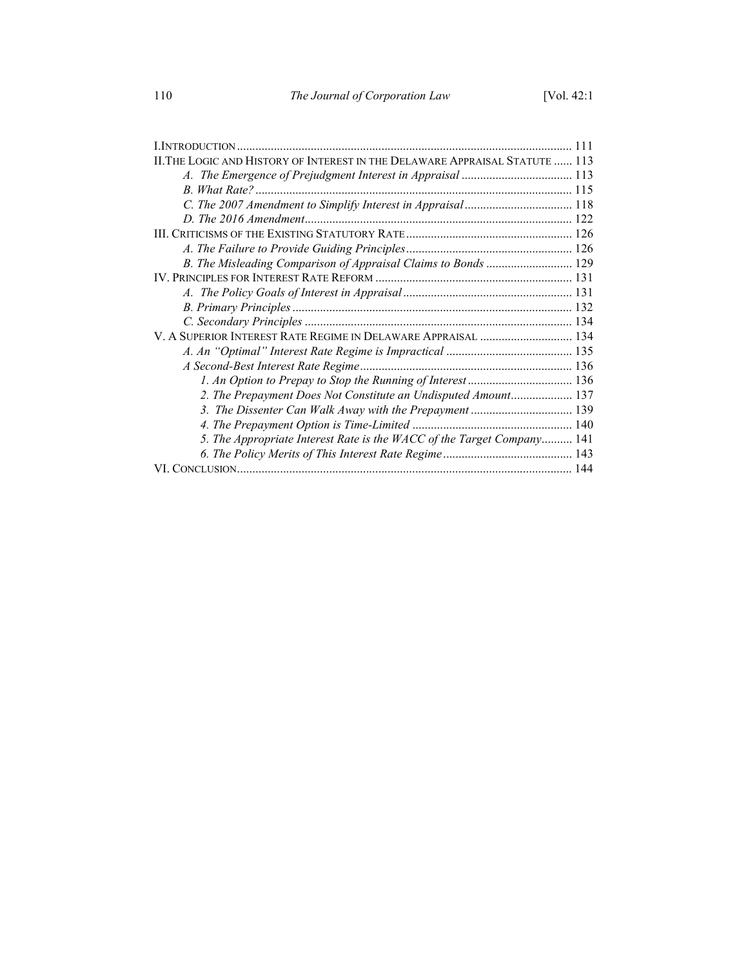| II. THE LOGIC AND HISTORY OF INTEREST IN THE DELAWARE APPRAISAL STATUTE  113 |  |
|------------------------------------------------------------------------------|--|
|                                                                              |  |
|                                                                              |  |
|                                                                              |  |
|                                                                              |  |
|                                                                              |  |
|                                                                              |  |
| B. The Misleading Comparison of Appraisal Claims to Bonds  129               |  |
|                                                                              |  |
|                                                                              |  |
|                                                                              |  |
|                                                                              |  |
| V. A SUPERIOR INTEREST RATE REGIME IN DELAWARE APPRAISAL  134                |  |
|                                                                              |  |
|                                                                              |  |
|                                                                              |  |
| 2. The Prepayment Does Not Constitute an Undisputed Amount 137               |  |
|                                                                              |  |
|                                                                              |  |
| 5. The Appropriate Interest Rate is the WACC of the Target Company 141       |  |
|                                                                              |  |
|                                                                              |  |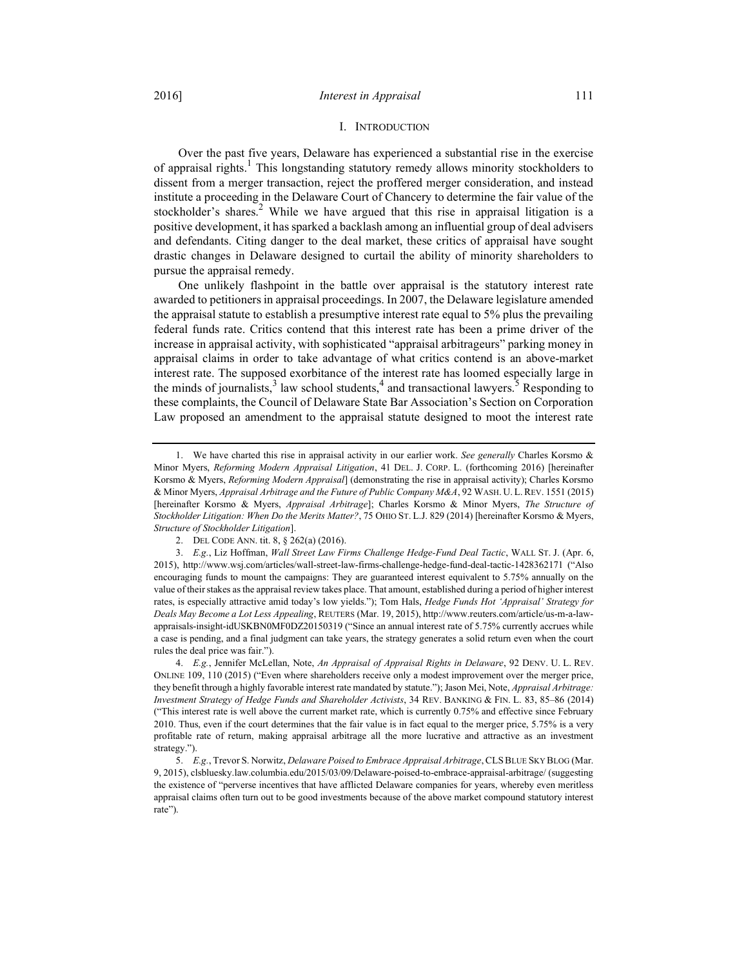#### I. INTRODUCTION

Over the past five years, Delaware has experienced a substantial rise in the exercise of appraisal rights.<sup>1</sup> This longstanding statutory remedy allows minority stockholders to dissent from a merger transaction, reject the proffered merger consideration, and instead institute a proceeding in the Delaware Court of Chancery to determine the fair value of the stockholder's shares.<sup>2</sup> While we have argued that this rise in appraisal litigation is a positive development, it has sparked a backlash among an influential group of deal advisers and defendants. Citing danger to the deal market, these critics of appraisal have sought drastic changes in Delaware designed to curtail the ability of minority shareholders to pursue the appraisal remedy.

One unlikely flashpoint in the battle over appraisal is the statutory interest rate awarded to petitioners in appraisal proceedings. In 2007, the Delaware legislature amended the appraisal statute to establish a presumptive interest rate equal to 5% plus the prevailing federal funds rate. Critics contend that this interest rate has been a prime driver of the increase in appraisal activity, with sophisticated "appraisal arbitrageurs" parking money in appraisal claims in order to take advantage of what critics contend is an above-market interest rate. The supposed exorbitance of the interest rate has loomed especially large in the minds of journalists,<sup>3</sup> law school students,<sup>4</sup> and transactional lawyers.<sup>5</sup> Responding to these complaints, the Council of Delaware State Bar Association's Section on Corporation Law proposed an amendment to the appraisal statute designed to moot the interest rate

 <sup>1.</sup> We have charted this rise in appraisal activity in our earlier work. See generally Charles Korsmo & Minor Myers, Reforming Modern Appraisal Litigation, 41 DEL. J. CORP. L. (forthcoming 2016) [hereinafter Korsmo & Myers, Reforming Modern Appraisal] (demonstrating the rise in appraisal activity); Charles Korsmo & Minor Myers, Appraisal Arbitrage and the Future of Public Company M&A, 92 WASH. U. L. REV. 1551 (2015) [hereinafter Korsmo & Myers, Appraisal Arbitrage]; Charles Korsmo & Minor Myers, The Structure of Stockholder Litigation: When Do the Merits Matter?, 75 OHIO ST. L.J. 829 (2014) [hereinafter Korsmo & Myers, Structure of Stockholder Litigation].

 <sup>2.</sup> DEL CODE ANN. tit. 8, § 262(a) (2016).

 <sup>3.</sup> E.g., Liz Hoffman, Wall Street Law Firms Challenge Hedge-Fund Deal Tactic, WALL ST. J. (Apr. 6, 2015), http://www.wsj.com/articles/wall-street-law-firms-challenge-hedge-fund-deal-tactic-1428362171 ("Also encouraging funds to mount the campaigns: They are guaranteed interest equivalent to 5.75% annually on the value of their stakes as the appraisal review takes place. That amount, established during a period of higher interest rates, is especially attractive amid today's low yields."); Tom Hals, Hedge Funds Hot 'Appraisal' Strategy for Deals May Become a Lot Less Appealing, REUTERS (Mar. 19, 2015), http://www.reuters.com/article/us-m-a-lawappraisals-insight-idUSKBN0MF0DZ20150319 ("Since an annual interest rate of 5.75% currently accrues while a case is pending, and a final judgment can take years, the strategy generates a solid return even when the court rules the deal price was fair.").

<sup>4.</sup> E.g., Jennifer McLellan, Note, An Appraisal of Appraisal Rights in Delaware, 92 DENV. U. L. REV. ONLINE 109, 110 (2015) ("Even where shareholders receive only a modest improvement over the merger price, they benefit through a highly favorable interest rate mandated by statute."); Jason Mei, Note, Appraisal Arbitrage: Investment Strategy of Hedge Funds and Shareholder Activists, 34 REV. BANKING & FIN. L. 83, 85–86 (2014) ("This interest rate is well above the current market rate, which is currently 0.75% and effective since February 2010. Thus, even if the court determines that the fair value is in fact equal to the merger price, 5.75% is a very profitable rate of return, making appraisal arbitrage all the more lucrative and attractive as an investment strategy.").

<sup>5.</sup> E.g., Trevor S. Norwitz, Delaware Poised to Embrace Appraisal Arbitrage, CLS BLUE SKY BLOG (Mar. 9, 2015), clsbluesky.law.columbia.edu/2015/03/09/Delaware-poised-to-embrace-appraisal-arbitrage/ (suggesting the existence of "perverse incentives that have afflicted Delaware companies for years, whereby even meritless appraisal claims often turn out to be good investments because of the above market compound statutory interest rate").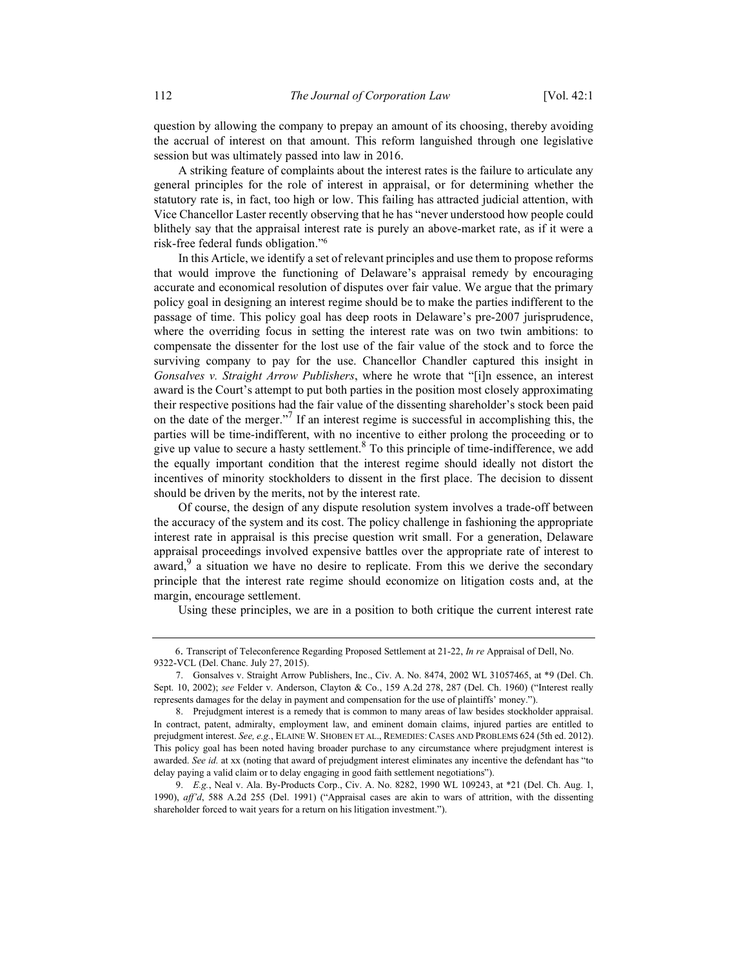question by allowing the company to prepay an amount of its choosing, thereby avoiding the accrual of interest on that amount. This reform languished through one legislative session but was ultimately passed into law in 2016.

A striking feature of complaints about the interest rates is the failure to articulate any general principles for the role of interest in appraisal, or for determining whether the statutory rate is, in fact, too high or low. This failing has attracted judicial attention, with Vice Chancellor Laster recently observing that he has "never understood how people could blithely say that the appraisal interest rate is purely an above-market rate, as if it were a risk-free federal funds obligation."<sup>6</sup>

In this Article, we identify a set of relevant principles and use them to propose reforms that would improve the functioning of Delaware's appraisal remedy by encouraging accurate and economical resolution of disputes over fair value. We argue that the primary policy goal in designing an interest regime should be to make the parties indifferent to the passage of time. This policy goal has deep roots in Delaware's pre-2007 jurisprudence, where the overriding focus in setting the interest rate was on two twin ambitions: to compensate the dissenter for the lost use of the fair value of the stock and to force the surviving company to pay for the use. Chancellor Chandler captured this insight in Gonsalves v. Straight Arrow Publishers, where he wrote that "[i]n essence, an interest award is the Court's attempt to put both parties in the position most closely approximating their respective positions had the fair value of the dissenting shareholder's stock been paid on the date of the merger."<sup>7</sup> If an interest regime is successful in accomplishing this, the parties will be time-indifferent, with no incentive to either prolong the proceeding or to give up value to secure a hasty settlement.<sup>8</sup> To this principle of time-indifference, we add the equally important condition that the interest regime should ideally not distort the incentives of minority stockholders to dissent in the first place. The decision to dissent should be driven by the merits, not by the interest rate.

Of course, the design of any dispute resolution system involves a trade-off between the accuracy of the system and its cost. The policy challenge in fashioning the appropriate interest rate in appraisal is this precise question writ small. For a generation, Delaware appraisal proceedings involved expensive battles over the appropriate rate of interest to  $\frac{1}{4}$  a situation we have no desire to replicate. From this we derive the secondary principle that the interest rate regime should economize on litigation costs and, at the margin, encourage settlement.

Using these principles, we are in a position to both critique the current interest rate

6. Transcript of Teleconference Regarding Proposed Settlement at 21-22, In re Appraisal of Dell, No. 9322-VCL (Del. Chanc. July 27, 2015).

 <sup>7.</sup> Gonsalves v. Straight Arrow Publishers, Inc., Civ. A. No. 8474, 2002 WL 31057465, at \*9 (Del. Ch. Sept. 10, 2002); see Felder v. Anderson, Clayton & Co., 159 A.2d 278, 287 (Del. Ch. 1960) ("Interest really represents damages for the delay in payment and compensation for the use of plaintiffs' money.").

 <sup>8.</sup> Prejudgment interest is a remedy that is common to many areas of law besides stockholder appraisal. In contract, patent, admiralty, employment law, and eminent domain claims, injured parties are entitled to prejudgment interest. See, e.g., ELAINE W. SHOBEN ET AL., REMEDIES: CASES AND PROBLEMS 624 (5th ed. 2012). This policy goal has been noted having broader purchase to any circumstance where prejudgment interest is awarded. See id. at xx (noting that award of prejudgment interest eliminates any incentive the defendant has "to delay paying a valid claim or to delay engaging in good faith settlement negotiations").

 <sup>9.</sup> E.g., Neal v. Ala. By-Products Corp., Civ. A. No. 8282, 1990 WL 109243, at \*21 (Del. Ch. Aug. 1, 1990), aff'd, 588 A.2d 255 (Del. 1991) ("Appraisal cases are akin to wars of attrition, with the dissenting shareholder forced to wait years for a return on his litigation investment.").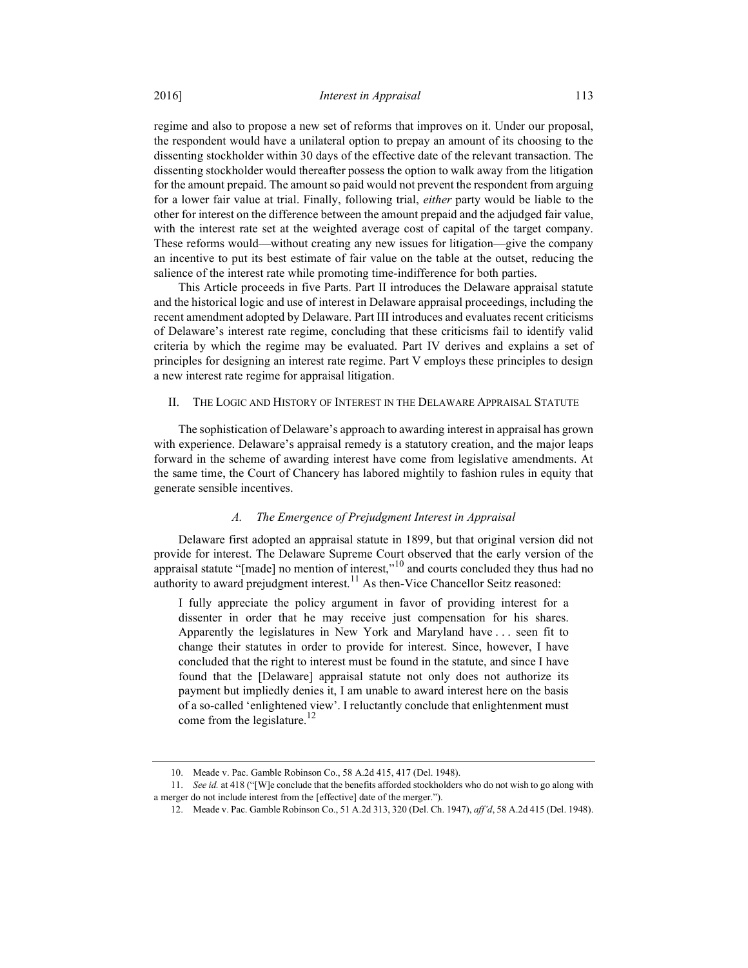regime and also to propose a new set of reforms that improves on it. Under our proposal, the respondent would have a unilateral option to prepay an amount of its choosing to the dissenting stockholder within 30 days of the effective date of the relevant transaction. The dissenting stockholder would thereafter possess the option to walk away from the litigation for the amount prepaid. The amount so paid would not prevent the respondent from arguing for a lower fair value at trial. Finally, following trial, either party would be liable to the other for interest on the difference between the amount prepaid and the adjudged fair value, with the interest rate set at the weighted average cost of capital of the target company. These reforms would—without creating any new issues for litigation—give the company an incentive to put its best estimate of fair value on the table at the outset, reducing the salience of the interest rate while promoting time-indifference for both parties.

This Article proceeds in five Parts. Part II introduces the Delaware appraisal statute and the historical logic and use of interest in Delaware appraisal proceedings, including the recent amendment adopted by Delaware. Part III introduces and evaluates recent criticisms of Delaware's interest rate regime, concluding that these criticisms fail to identify valid criteria by which the regime may be evaluated. Part IV derives and explains a set of principles for designing an interest rate regime. Part V employs these principles to design a new interest rate regime for appraisal litigation.

## II. THE LOGIC AND HISTORY OF INTEREST IN THE DELAWARE APPRAISAL STATUTE

The sophistication of Delaware's approach to awarding interest in appraisal has grown with experience. Delaware's appraisal remedy is a statutory creation, and the major leaps forward in the scheme of awarding interest have come from legislative amendments. At the same time, the Court of Chancery has labored mightily to fashion rules in equity that generate sensible incentives.

## A. The Emergence of Prejudgment Interest in Appraisal

Delaware first adopted an appraisal statute in 1899, but that original version did not provide for interest. The Delaware Supreme Court observed that the early version of the appraisal statute "[made] no mention of interest,"<sup>10</sup> and courts concluded they thus had no authority to award prejudgment interest.<sup>11</sup> As then-Vice Chancellor Seitz reasoned:

I fully appreciate the policy argument in favor of providing interest for a dissenter in order that he may receive just compensation for his shares. Apparently the legislatures in New York and Maryland have . . . seen fit to change their statutes in order to provide for interest. Since, however, I have concluded that the right to interest must be found in the statute, and since I have found that the [Delaware] appraisal statute not only does not authorize its payment but impliedly denies it, I am unable to award interest here on the basis of a so-called 'enlightened view'. I reluctantly conclude that enlightenment must come from the legislature. $12$ 

 <sup>10.</sup> Meade v. Pac. Gamble Robinson Co., 58 A.2d 415, 417 (Del. 1948).

 <sup>11.</sup> See id. at 418 ("[W]e conclude that the benefits afforded stockholders who do not wish to go along with a merger do not include interest from the [effective] date of the merger.").

 <sup>12.</sup> Meade v. Pac. Gamble Robinson Co., 51 A.2d 313, 320 (Del. Ch. 1947), aff'd, 58 A.2d 415 (Del. 1948).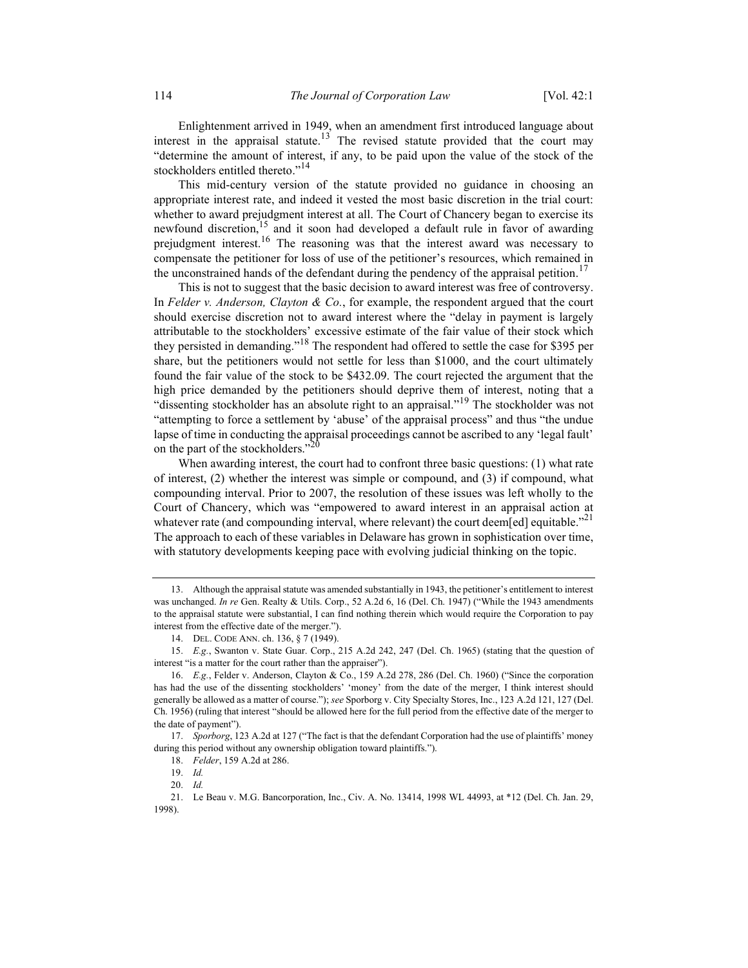Enlightenment arrived in 1949, when an amendment first introduced language about interest in the appraisal statute.<sup>13</sup> The revised statute provided that the court may "determine the amount of interest, if any, to be paid upon the value of the stock of the stockholders entitled thereto."<sup>14</sup>

This mid-century version of the statute provided no guidance in choosing an appropriate interest rate, and indeed it vested the most basic discretion in the trial court: whether to award prejudgment interest at all. The Court of Chancery began to exercise its newfound discretion,<sup>15</sup> and it soon had developed a default rule in favor of awarding prejudgment interest.<sup>16</sup> The reasoning was that the interest award was necessary to compensate the petitioner for loss of use of the petitioner's resources, which remained in the unconstrained hands of the defendant during the pendency of the appraisal petition.<sup>17</sup>

This is not to suggest that the basic decision to award interest was free of controversy. In Felder v. Anderson, Clayton & Co., for example, the respondent argued that the court should exercise discretion not to award interest where the "delay in payment is largely attributable to the stockholders' excessive estimate of the fair value of their stock which they persisted in demanding."<sup>18</sup> The respondent had offered to settle the case for \$395 per share, but the petitioners would not settle for less than \$1000, and the court ultimately found the fair value of the stock to be \$432.09. The court rejected the argument that the high price demanded by the petitioners should deprive them of interest, noting that a "dissenting stockholder has an absolute right to an appraisal."<sup>19</sup> The stockholder was not "attempting to force a settlement by 'abuse' of the appraisal process" and thus "the undue lapse of time in conducting the appraisal proceedings cannot be ascribed to any 'legal fault' on the part of the stockholders."<sup>20</sup>

When awarding interest, the court had to confront three basic questions: (1) what rate of interest, (2) whether the interest was simple or compound, and (3) if compound, what compounding interval. Prior to 2007, the resolution of these issues was left wholly to the Court of Chancery, which was "empowered to award interest in an appraisal action at whatever rate (and compounding interval, where relevant) the court deem[ed] equitable."<sup>21</sup> The approach to each of these variables in Delaware has grown in sophistication over time, with statutory developments keeping pace with evolving judicial thinking on the topic.

 <sup>13.</sup> Although the appraisal statute was amended substantially in 1943, the petitioner's entitlement to interest was unchanged. In re Gen. Realty & Utils. Corp., 52 A.2d 6, 16 (Del. Ch. 1947) ("While the 1943 amendments to the appraisal statute were substantial, I can find nothing therein which would require the Corporation to pay interest from the effective date of the merger.").

 <sup>14.</sup> DEL. CODE ANN. ch. 136, § 7 (1949).

 <sup>15.</sup> E.g., Swanton v. State Guar. Corp., 215 A.2d 242, 247 (Del. Ch. 1965) (stating that the question of interest "is a matter for the court rather than the appraiser").

 <sup>16.</sup> E.g., Felder v. Anderson, Clayton & Co., 159 A.2d 278, 286 (Del. Ch. 1960) ("Since the corporation has had the use of the dissenting stockholders' 'money' from the date of the merger, I think interest should generally be allowed as a matter of course."); see Sporborg v. City Specialty Stores, Inc., 123 A.2d 121, 127 (Del. Ch. 1956) (ruling that interest "should be allowed here for the full period from the effective date of the merger to the date of payment").

 <sup>17.</sup> Sporborg, 123 A.2d at 127 ("The fact is that the defendant Corporation had the use of plaintiffs' money during this period without any ownership obligation toward plaintiffs.").

 <sup>18.</sup> Felder, 159 A.2d at 286.

 <sup>19.</sup> Id.

 <sup>20.</sup> Id.

 <sup>21.</sup> Le Beau v. M.G. Bancorporation, Inc., Civ. A. No. 13414, 1998 WL 44993, at \*12 (Del. Ch. Jan. 29, 1998).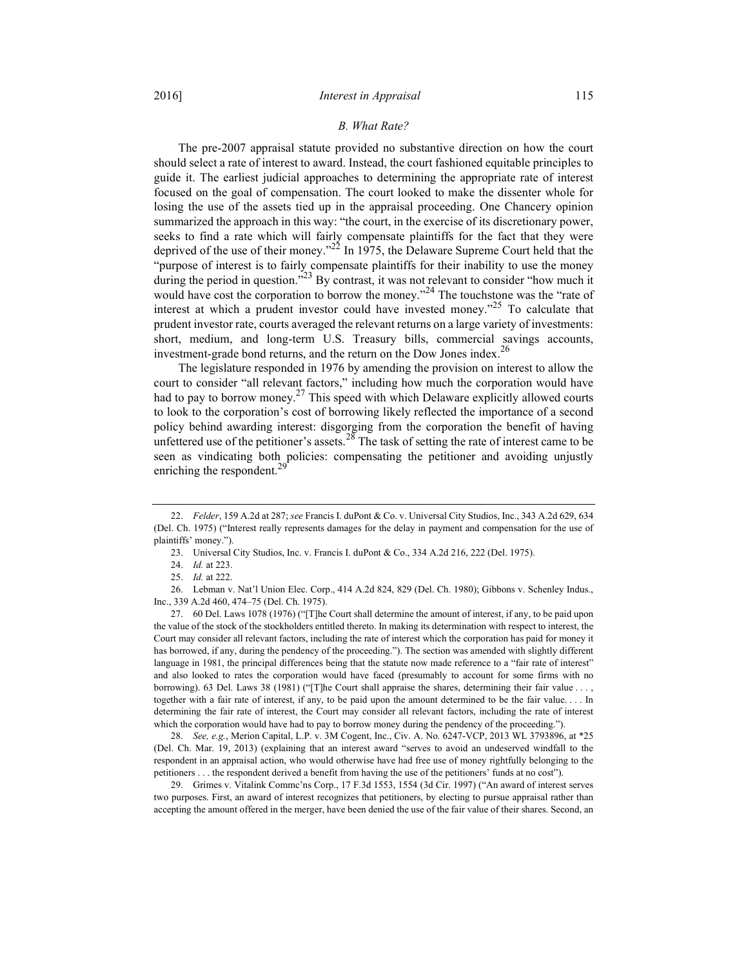#### B. What Rate?

The pre-2007 appraisal statute provided no substantive direction on how the court should select a rate of interest to award. Instead, the court fashioned equitable principles to guide it. The earliest judicial approaches to determining the appropriate rate of interest focused on the goal of compensation. The court looked to make the dissenter whole for losing the use of the assets tied up in the appraisal proceeding. One Chancery opinion summarized the approach in this way: "the court, in the exercise of its discretionary power, seeks to find a rate which will fairly compensate plaintiffs for the fact that they were deprived of the use of their money."<sup>22</sup> In 1975, the Delaware Supreme Court held that the "purpose of interest is to fairly compensate plaintiffs for their inability to use the money during the period in question."<sup>23</sup> By contrast, it was not relevant to consider "how much it would have cost the corporation to borrow the money."<sup>24</sup> The touchstone was the "rate of interest at which a prudent investor could have invested money. $^{25}$  To calculate that prudent investor rate, courts averaged the relevant returns on a large variety of investments: short, medium, and long-term U.S. Treasury bills, commercial savings accounts, investment-grade bond returns, and the return on the Dow Jones index.<sup>26</sup>

The legislature responded in 1976 by amending the provision on interest to allow the court to consider "all relevant factors," including how much the corporation would have had to pay to borrow money.<sup>27</sup> This speed with which Delaware explicitly allowed courts to look to the corporation's cost of borrowing likely reflected the importance of a second policy behind awarding interest: disgorging from the corporation the benefit of having unfettered use of the petitioner's assets.<sup>28</sup> The task of setting the rate of interest came to be seen as vindicating both policies: compensating the petitioner and avoiding unjustly enriching the respondent. $^{29}$ 

23. Universal City Studios, Inc. v. Francis I. duPont & Co., 334 A.2d 216, 222 (Del. 1975).

 26. Lebman v. Nat'l Union Elec. Corp., 414 A.2d 824, 829 (Del. Ch. 1980); Gibbons v. Schenley Indus., Inc., 339 A.2d 460, 474–75 (Del. Ch. 1975).

 27. 60 Del. Laws 1078 (1976) ("[T]he Court shall determine the amount of interest, if any, to be paid upon the value of the stock of the stockholders entitled thereto. In making its determination with respect to interest, the Court may consider all relevant factors, including the rate of interest which the corporation has paid for money it has borrowed, if any, during the pendency of the proceeding."). The section was amended with slightly different language in 1981, the principal differences being that the statute now made reference to a "fair rate of interest" and also looked to rates the corporation would have faced (presumably to account for some firms with no borrowing). 63 Del. Laws 38 (1981) ("[T]he Court shall appraise the shares, determining their fair value . . . , together with a fair rate of interest, if any, to be paid upon the amount determined to be the fair value. . . . In determining the fair rate of interest, the Court may consider all relevant factors, including the rate of interest which the corporation would have had to pay to borrow money during the pendency of the proceeding.").

 28. See, e.g., Merion Capital, L.P. v. 3M Cogent, Inc., Civ. A. No. 6247-VCP, 2013 WL 3793896, at \*25 (Del. Ch. Mar. 19, 2013) (explaining that an interest award "serves to avoid an undeserved windfall to the respondent in an appraisal action, who would otherwise have had free use of money rightfully belonging to the petitioners . . . the respondent derived a benefit from having the use of the petitioners' funds at no cost").

 29. Grimes v. Vitalink Commc'ns Corp., 17 F.3d 1553, 1554 (3d Cir. 1997) ("An award of interest serves two purposes. First, an award of interest recognizes that petitioners, by electing to pursue appraisal rather than accepting the amount offered in the merger, have been denied the use of the fair value of their shares. Second, an

 <sup>22.</sup> Felder, 159 A.2d at 287; see Francis I. duPont & Co. v. Universal City Studios, Inc., 343 A.2d 629, 634 (Del. Ch. 1975) ("Interest really represents damages for the delay in payment and compensation for the use of plaintiffs' money.").

 <sup>24.</sup> Id. at 223.

 <sup>25.</sup> Id. at 222.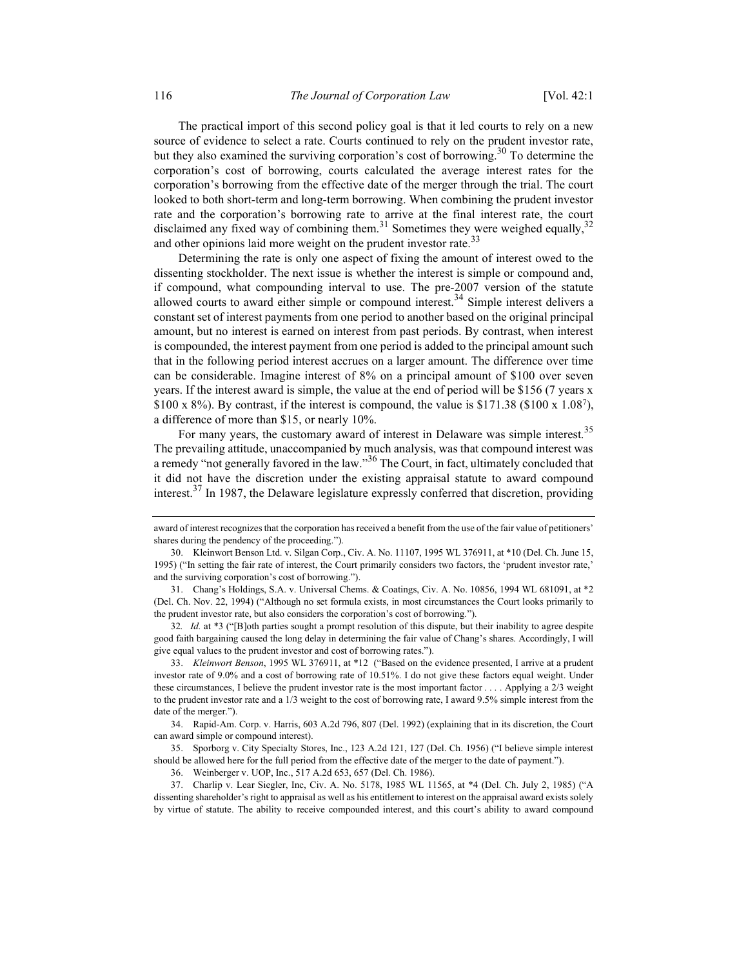The practical import of this second policy goal is that it led courts to rely on a new source of evidence to select a rate. Courts continued to rely on the prudent investor rate, but they also examined the surviving corporation's cost of borrowing.<sup>30</sup> To determine the corporation's cost of borrowing, courts calculated the average interest rates for the corporation's borrowing from the effective date of the merger through the trial. The court looked to both short-term and long-term borrowing. When combining the prudent investor rate and the corporation's borrowing rate to arrive at the final interest rate, the court disclaimed any fixed way of combining them.<sup>31</sup> Sometimes they were weighed equally,<sup>32</sup> and other opinions laid more weight on the prudent investor rate.<sup>33</sup>

Determining the rate is only one aspect of fixing the amount of interest owed to the dissenting stockholder. The next issue is whether the interest is simple or compound and, if compound, what compounding interval to use. The pre-2007 version of the statute allowed courts to award either simple or compound interest.<sup>34</sup> Simple interest delivers a constant set of interest payments from one period to another based on the original principal amount, but no interest is earned on interest from past periods. By contrast, when interest is compounded, the interest payment from one period is added to the principal amount such that in the following period interest accrues on a larger amount. The difference over time can be considerable. Imagine interest of 8% on a principal amount of \$100 over seven years. If the interest award is simple, the value at the end of period will be \$156 (7 years x  $$100 \times 8\%$ ). By contrast, if the interest is compound, the value is  $$171.38$  (\$100 x 1.08<sup>7</sup>), a difference of more than \$15, or nearly 10%.

For many years, the customary award of interest in Delaware was simple interest.<sup>35</sup> The prevailing attitude, unaccompanied by much analysis, was that compound interest was a remedy "not generally favored in the law."<sup>36</sup> The Court, in fact, ultimately concluded that it did not have the discretion under the existing appraisal statute to award compound interest.<sup>37</sup> In 1987, the Delaware legislature expressly conferred that discretion, providing

32. Id. at \*3 ("[B]oth parties sought a prompt resolution of this dispute, but their inability to agree despite good faith bargaining caused the long delay in determining the fair value of Chang's shares. Accordingly, I will give equal values to the prudent investor and cost of borrowing rates.").

 33. Kleinwort Benson, 1995 WL 376911, at \*12 ("Based on the evidence presented, I arrive at a prudent investor rate of 9.0% and a cost of borrowing rate of 10.51%. I do not give these factors equal weight. Under these circumstances, I believe the prudent investor rate is the most important factor . . . . Applying a 2/3 weight to the prudent investor rate and a 1/3 weight to the cost of borrowing rate, I award 9.5% simple interest from the date of the merger.").

 34. Rapid-Am. Corp. v. Harris, 603 A.2d 796, 807 (Del. 1992) (explaining that in its discretion, the Court can award simple or compound interest).

 35. Sporborg v. City Specialty Stores, Inc., 123 A.2d 121, 127 (Del. Ch. 1956) ("I believe simple interest should be allowed here for the full period from the effective date of the merger to the date of payment.").

36. Weinberger v. UOP, Inc., 517 A.2d 653, 657 (Del. Ch. 1986).

 37. Charlip v. Lear Siegler, Inc, Civ. A. No. 5178, 1985 WL 11565, at \*4 (Del. Ch. July 2, 1985) ("A dissenting shareholder's right to appraisal as well as his entitlement to interest on the appraisal award exists solely by virtue of statute. The ability to receive compounded interest, and this court's ability to award compound

award of interest recognizes that the corporation has received a benefit from the use of the fair value of petitioners' shares during the pendency of the proceeding.").

 <sup>30.</sup> Kleinwort Benson Ltd. v. Silgan Corp., Civ. A. No. 11107, 1995 WL 376911, at \*10 (Del. Ch. June 15, 1995) ("In setting the fair rate of interest, the Court primarily considers two factors, the 'prudent investor rate,' and the surviving corporation's cost of borrowing.").

 <sup>31.</sup> Chang's Holdings, S.A. v. Universal Chems. & Coatings, Civ. A. No. 10856, 1994 WL 681091, at \*2 (Del. Ch. Nov. 22, 1994) ("Although no set formula exists, in most circumstances the Court looks primarily to the prudent investor rate, but also considers the corporation's cost of borrowing.").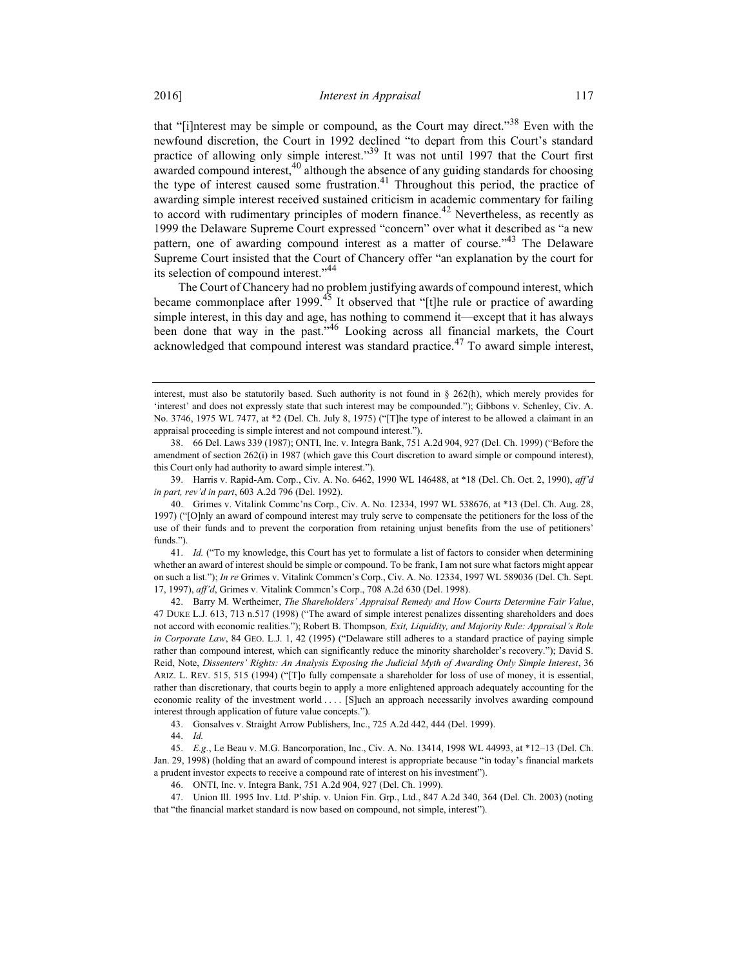that "[i]nterest may be simple or compound, as the Court may direct."<sup>38</sup> Even with the newfound discretion, the Court in 1992 declined "to depart from this Court's standard practice of allowing only simple interest."<sup>39</sup> It was not until 1997 that the Court first awarded compound interest,  $40$  although the absence of any guiding standards for choosing the type of interest caused some frustration.<sup>41</sup> Throughout this period, the practice of awarding simple interest received sustained criticism in academic commentary for failing to accord with rudimentary principles of modern finance.<sup>42</sup> Nevertheless, as recently as 1999 the Delaware Supreme Court expressed "concern" over what it described as "a new pattern, one of awarding compound interest as a matter of course.<sup>43</sup> The Delaware Supreme Court insisted that the Court of Chancery offer "an explanation by the court for its selection of compound interest."<sup>44</sup>

The Court of Chancery had no problem justifying awards of compound interest, which became commonplace after 1999.<sup>45</sup> It observed that "[t]he rule or practice of awarding simple interest, in this day and age, has nothing to commend it—except that it has always been done that way in the past."46 Looking across all financial markets, the Court acknowledged that compound interest was standard practice.<sup>47</sup> To award simple interest,

interest, must also be statutorily based. Such authority is not found in  $\S$  262(h), which merely provides for 'interest' and does not expressly state that such interest may be compounded."); Gibbons v. Schenley, Civ. A. No. 3746, 1975 WL 7477, at \*2 (Del. Ch. July 8, 1975) ("[T]he type of interest to be allowed a claimant in an appraisal proceeding is simple interest and not compound interest.").

 <sup>38. 66</sup> Del. Laws 339 (1987); ONTI, Inc. v. Integra Bank, 751 A.2d 904, 927 (Del. Ch. 1999) ("Before the amendment of section 262(i) in 1987 (which gave this Court discretion to award simple or compound interest), this Court only had authority to award simple interest.").

 <sup>39.</sup> Harris v. Rapid-Am. Corp., Civ. A. No. 6462, 1990 WL 146488, at \*18 (Del. Ch. Oct. 2, 1990), aff'd in part, rev'd in part, 603 A.2d 796 (Del. 1992).

 <sup>40.</sup> Grimes v. Vitalink Commc'ns Corp., Civ. A. No. 12334, 1997 WL 538676, at \*13 (Del. Ch. Aug. 28, 1997) ("[O]nly an award of compound interest may truly serve to compensate the petitioners for the loss of the use of their funds and to prevent the corporation from retaining unjust benefits from the use of petitioners' funds.").

 <sup>41.</sup> Id. ("To my knowledge, this Court has yet to formulate a list of factors to consider when determining whether an award of interest should be simple or compound. To be frank, I am not sure what factors might appear on such a list."); In re Grimes v. Vitalink Commcn's Corp., Civ. A. No. 12334, 1997 WL 589036 (Del. Ch. Sept. 17, 1997), aff'd, Grimes v. Vitalink Commcn's Corp., 708 A.2d 630 (Del. 1998).

 <sup>42.</sup> Barry M. Wertheimer, The Shareholders' Appraisal Remedy and How Courts Determine Fair Value, 47 DUKE L.J. 613, 713 n.517 (1998) ("The award of simple interest penalizes dissenting shareholders and does not accord with economic realities."); Robert B. Thompson, Exit, Liquidity, and Majority Rule: Appraisal's Role in Corporate Law, 84 GEO. L.J. 1, 42 (1995) ("Delaware still adheres to a standard practice of paying simple rather than compound interest, which can significantly reduce the minority shareholder's recovery."); David S. Reid, Note, Dissenters' Rights: An Analysis Exposing the Judicial Myth of Awarding Only Simple Interest, 36 ARIZ. L. REV. 515, 515 (1994) ("[T]o fully compensate a shareholder for loss of use of money, it is essential, rather than discretionary, that courts begin to apply a more enlightened approach adequately accounting for the economic reality of the investment world . . . . [S]uch an approach necessarily involves awarding compound interest through application of future value concepts.").

 <sup>43.</sup> Gonsalves v. Straight Arrow Publishers, Inc., 725 A.2d 442, 444 (Del. 1999).

 <sup>44.</sup> Id.

 <sup>45.</sup> E.g., Le Beau v. M.G. Bancorporation, Inc., Civ. A. No. 13414, 1998 WL 44993, at \*12–13 (Del. Ch. Jan. 29, 1998) (holding that an award of compound interest is appropriate because "in today's financial markets a prudent investor expects to receive a compound rate of interest on his investment").

 <sup>46.</sup> ONTI, Inc. v. Integra Bank, 751 A.2d 904, 927 (Del. Ch. 1999).

 <sup>47.</sup> Union Ill. 1995 Inv. Ltd. P'ship. v. Union Fin. Grp., Ltd., 847 A.2d 340, 364 (Del. Ch. 2003) (noting that "the financial market standard is now based on compound, not simple, interest").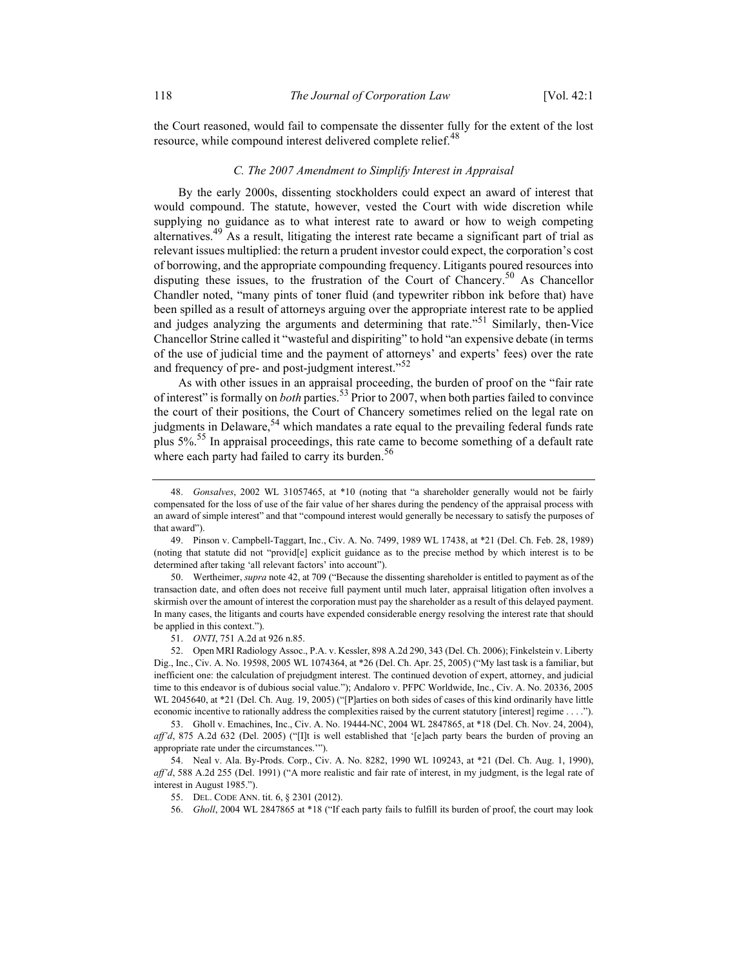the Court reasoned, would fail to compensate the dissenter fully for the extent of the lost resource, while compound interest delivered complete relief.<sup>48</sup>

#### C. The 2007 Amendment to Simplify Interest in Appraisal

By the early 2000s, dissenting stockholders could expect an award of interest that would compound. The statute, however, vested the Court with wide discretion while supplying no guidance as to what interest rate to award or how to weigh competing alternatives.<sup>49</sup> As a result, litigating the interest rate became a significant part of trial as relevant issues multiplied: the return a prudent investor could expect, the corporation's cost of borrowing, and the appropriate compounding frequency. Litigants poured resources into disputing these issues, to the frustration of the Court of Chancery.<sup>50</sup> As Chancellor Chandler noted, "many pints of toner fluid (and typewriter ribbon ink before that) have been spilled as a result of attorneys arguing over the appropriate interest rate to be applied and judges analyzing the arguments and determining that rate."51 Similarly, then-Vice Chancellor Strine called it "wasteful and dispiriting" to hold "an expensive debate (in terms of the use of judicial time and the payment of attorneys' and experts' fees) over the rate and frequency of pre- and post-judgment interest."<sup>52</sup>

As with other issues in an appraisal proceeding, the burden of proof on the "fair rate of interest" is formally on *both* parties.<sup>53</sup> Prior to 2007, when both parties failed to convince the court of their positions, the Court of Chancery sometimes relied on the legal rate on judgments in Delaware,  $54$  which mandates a rate equal to the prevailing federal funds rate plus  $5\%$ <sup>55</sup> In appraisal proceedings, this rate came to become something of a default rate where each party had failed to carry its burden. $56$ 

 50. Wertheimer, supra note 42, at 709 ("Because the dissenting shareholder is entitled to payment as of the transaction date, and often does not receive full payment until much later, appraisal litigation often involves a skirmish over the amount of interest the corporation must pay the shareholder as a result of this delayed payment. In many cases, the litigants and courts have expended considerable energy resolving the interest rate that should be applied in this context.").

51. ONTI, 751 A.2d at 926 n.85.

 52. Open MRI Radiology Assoc., P.A. v. Kessler, 898 A.2d 290, 343 (Del. Ch. 2006); Finkelstein v. Liberty Dig., Inc., Civ. A. No. 19598, 2005 WL 1074364, at \*26 (Del. Ch. Apr. 25, 2005) ("My last task is a familiar, but inefficient one: the calculation of prejudgment interest. The continued devotion of expert, attorney, and judicial time to this endeavor is of dubious social value."); Andaloro v. PFPC Worldwide, Inc., Civ. A. No. 20336, 2005 WL 2045640, at \*21 (Del. Ch. Aug. 19, 2005) ("[P]arties on both sides of cases of this kind ordinarily have little economic incentive to rationally address the complexities raised by the current statutory [interest] regime . . . .").

 53. Gholl v. Emachines, Inc., Civ. A. No. 19444-NC, 2004 WL 2847865, at \*18 (Del. Ch. Nov. 24, 2004), aff'd, 875 A.2d 632 (Del. 2005) ("[I]t is well established that '[e]ach party bears the burden of proving an appropriate rate under the circumstances.'").

 54. Neal v. Ala. By-Prods. Corp., Civ. A. No. 8282, 1990 WL 109243, at \*21 (Del. Ch. Aug. 1, 1990), aff'd, 588 A.2d 255 (Del. 1991) ("A more realistic and fair rate of interest, in my judgment, is the legal rate of interest in August 1985.").

55. DEL. CODE ANN. tit. 6, § 2301 (2012).

56. Gholl, 2004 WL 2847865 at \*18 ("If each party fails to fulfill its burden of proof, the court may look

 <sup>48.</sup> Gonsalves, 2002 WL 31057465, at \*10 (noting that "a shareholder generally would not be fairly compensated for the loss of use of the fair value of her shares during the pendency of the appraisal process with an award of simple interest" and that "compound interest would generally be necessary to satisfy the purposes of that award").

 <sup>49.</sup> Pinson v. Campbell-Taggart, Inc., Civ. A. No. 7499, 1989 WL 17438, at \*21 (Del. Ch. Feb. 28, 1989) (noting that statute did not "provid[e] explicit guidance as to the precise method by which interest is to be determined after taking 'all relevant factors' into account").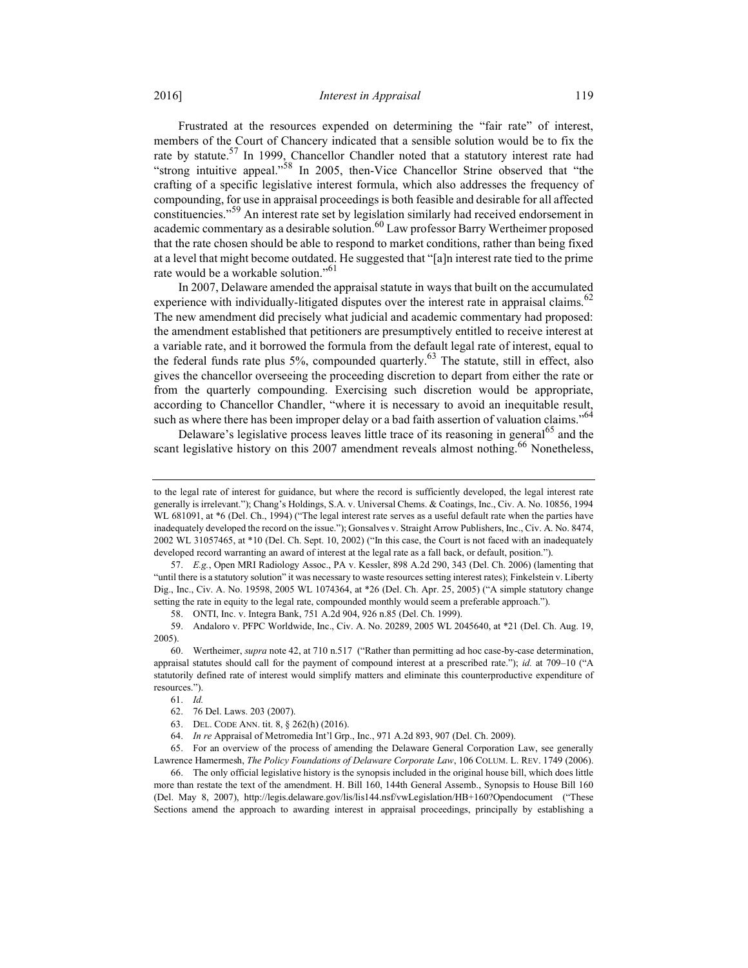Frustrated at the resources expended on determining the "fair rate" of interest, members of the Court of Chancery indicated that a sensible solution would be to fix the rate by statute.<sup>57</sup> In 1999, Chancellor Chandler noted that a statutory interest rate had "strong intuitive appeal."<sup>58</sup> In 2005, then-Vice Chancellor Strine observed that "the crafting of a specific legislative interest formula, which also addresses the frequency of compounding, for use in appraisal proceedings is both feasible and desirable for all affected constituencies."59 An interest rate set by legislation similarly had received endorsement in academic commentary as a desirable solution. $60$  Law professor Barry Wertheimer proposed that the rate chosen should be able to respond to market conditions, rather than being fixed at a level that might become outdated. He suggested that "[a]n interest rate tied to the prime rate would be a workable solution."<sup>61</sup>

In 2007, Delaware amended the appraisal statute in ways that built on the accumulated experience with individually-litigated disputes over the interest rate in appraisal claims.<sup>62</sup> The new amendment did precisely what judicial and academic commentary had proposed: the amendment established that petitioners are presumptively entitled to receive interest at a variable rate, and it borrowed the formula from the default legal rate of interest, equal to the federal funds rate plus 5%, compounded quarterly.<sup>63</sup> The statute, still in effect, also gives the chancellor overseeing the proceeding discretion to depart from either the rate or from the quarterly compounding. Exercising such discretion would be appropriate, according to Chancellor Chandler, "where it is necessary to avoid an inequitable result, such as where there has been improper delay or a bad faith assertion of valuation claims."<sup>64</sup>

Delaware's legislative process leaves little trace of its reasoning in general<sup>65</sup> and the scant legislative history on this 2007 amendment reveals almost nothing.<sup>66</sup> Nonetheless,

 65. For an overview of the process of amending the Delaware General Corporation Law, see generally Lawrence Hamermesh, The Policy Foundations of Delaware Corporate Law, 106 COLUM. L. REV. 1749 (2006).

 66. The only official legislative history is the synopsis included in the original house bill, which does little more than restate the text of the amendment. H. Bill 160, 144th General Assemb., Synopsis to House Bill 160 (Del. May 8, 2007), http://legis.delaware.gov/lis/lis144.nsf/vwLegislation/HB+160?Opendocument ("These Sections amend the approach to awarding interest in appraisal proceedings, principally by establishing a

to the legal rate of interest for guidance, but where the record is sufficiently developed, the legal interest rate generally is irrelevant."); Chang's Holdings, S.A. v. Universal Chems. & Coatings, Inc., Civ. A. No. 10856, 1994 WL 681091, at  $*6$  (Del. Ch., 1994) ("The legal interest rate serves as a useful default rate when the parties have inadequately developed the record on the issue."); Gonsalves v. Straight Arrow Publishers, Inc., Civ. A. No. 8474, 2002 WL 31057465, at \*10 (Del. Ch. Sept. 10, 2002) ("In this case, the Court is not faced with an inadequately developed record warranting an award of interest at the legal rate as a fall back, or default, position.").

 <sup>57.</sup> E.g., Open MRI Radiology Assoc., PA v. Kessler, 898 A.2d 290, 343 (Del. Ch. 2006) (lamenting that "until there is a statutory solution" it was necessary to waste resources setting interest rates); Finkelstein v. Liberty Dig., Inc., Civ. A. No. 19598, 2005 WL 1074364, at \*26 (Del. Ch. Apr. 25, 2005) ("A simple statutory change setting the rate in equity to the legal rate, compounded monthly would seem a preferable approach.").

 <sup>58.</sup> ONTI, Inc. v. Integra Bank, 751 A.2d 904, 926 n.85 (Del. Ch. 1999).

 <sup>59.</sup> Andaloro v. PFPC Worldwide, Inc., Civ. A. No. 20289, 2005 WL 2045640, at \*21 (Del. Ch. Aug. 19, 2005).

 <sup>60.</sup> Wertheimer, supra note 42, at 710 n.517 ("Rather than permitting ad hoc case-by-case determination, appraisal statutes should call for the payment of compound interest at a prescribed rate."); id. at 709–10 ("A statutorily defined rate of interest would simplify matters and eliminate this counterproductive expenditure of resources.").

 <sup>61.</sup> Id.

 <sup>62. 76</sup> Del. Laws. 203 (2007).

 <sup>63.</sup> DEL. CODE ANN. tit. 8, § 262(h) (2016).

 <sup>64.</sup> In re Appraisal of Metromedia Int'l Grp., Inc., 971 A.2d 893, 907 (Del. Ch. 2009).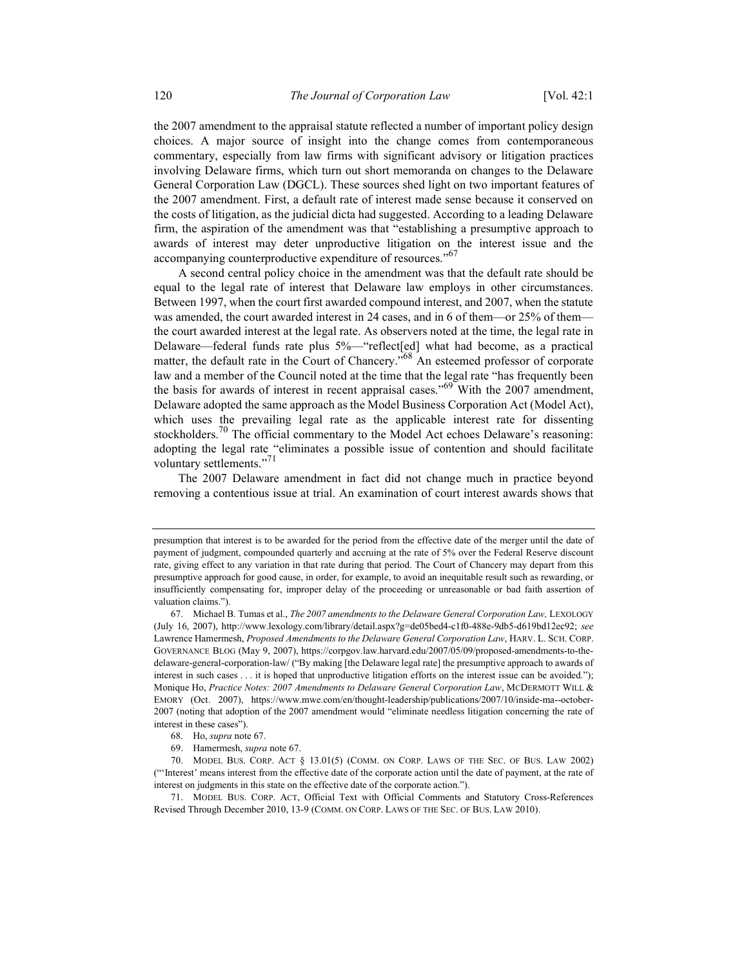the 2007 amendment to the appraisal statute reflected a number of important policy design choices. A major source of insight into the change comes from contemporaneous commentary, especially from law firms with significant advisory or litigation practices involving Delaware firms, which turn out short memoranda on changes to the Delaware General Corporation Law (DGCL). These sources shed light on two important features of the 2007 amendment. First, a default rate of interest made sense because it conserved on the costs of litigation, as the judicial dicta had suggested. According to a leading Delaware firm, the aspiration of the amendment was that "establishing a presumptive approach to awards of interest may deter unproductive litigation on the interest issue and the accompanying counterproductive expenditure of resources."<sup>67</sup>

A second central policy choice in the amendment was that the default rate should be equal to the legal rate of interest that Delaware law employs in other circumstances. Between 1997, when the court first awarded compound interest, and 2007, when the statute was amended, the court awarded interest in 24 cases, and in 6 of them—or 25% of them the court awarded interest at the legal rate. As observers noted at the time, the legal rate in Delaware—federal funds rate plus 5%—"reflect[ed] what had become, as a practical matter, the default rate in the Court of Chancery."<sup>68</sup> An esteemed professor of corporate law and a member of the Council noted at the time that the legal rate "has frequently been the basis for awards of interest in recent appraisal cases." $69^{\circ}$  With the 2007 amendment, Delaware adopted the same approach as the Model Business Corporation Act (Model Act), which uses the prevailing legal rate as the applicable interest rate for dissenting stockholders.<sup>70</sup> The official commentary to the Model Act echoes Delaware's reasoning: adopting the legal rate "eliminates a possible issue of contention and should facilitate voluntary settlements."<sup>71</sup>

The 2007 Delaware amendment in fact did not change much in practice beyond removing a contentious issue at trial. An examination of court interest awards shows that

presumption that interest is to be awarded for the period from the effective date of the merger until the date of payment of judgment, compounded quarterly and accruing at the rate of 5% over the Federal Reserve discount rate, giving effect to any variation in that rate during that period. The Court of Chancery may depart from this presumptive approach for good cause, in order, for example, to avoid an inequitable result such as rewarding, or insufficiently compensating for, improper delay of the proceeding or unreasonable or bad faith assertion of valuation claims.").

 <sup>67.</sup> Michael B. Tumas et al., The 2007 amendments to the Delaware General Corporation Law, LEXOLOGY (July 16, 2007), http://www.lexology.com/library/detail.aspx?g=de05bed4-c1f0-488e-9db5-d619bd12ec92; see Lawrence Hamermesh, Proposed Amendments to the Delaware General Corporation Law, HARV. L. SCH. CORP. GOVERNANCE BLOG (May 9, 2007), https://corpgov.law.harvard.edu/2007/05/09/proposed-amendments-to-thedelaware-general-corporation-law/ ("By making [the Delaware legal rate] the presumptive approach to awards of interest in such cases . . . it is hoped that unproductive litigation efforts on the interest issue can be avoided."); Monique Ho, Practice Notes: 2007 Amendments to Delaware General Corporation Law, MCDERMOTT WILL & EMORY (Oct. 2007), https://www.mwe.com/en/thought-leadership/publications/2007/10/inside-ma--october-2007 (noting that adoption of the 2007 amendment would "eliminate needless litigation concerning the rate of interest in these cases").

 <sup>68.</sup> Ho, supra note 67.

 <sup>69.</sup> Hamermesh, supra note 67.

 <sup>70.</sup> MODEL BUS. CORP. ACT § 13.01(5) (COMM. ON CORP. LAWS OF THE SEC. OF BUS. LAW 2002) ("'Interest' means interest from the effective date of the corporate action until the date of payment, at the rate of interest on judgments in this state on the effective date of the corporate action.").

 <sup>71.</sup> MODEL BUS. CORP. ACT, Official Text with Official Comments and Statutory Cross-References Revised Through December 2010, 13-9 (COMM. ON CORP. LAWS OF THE SEC. OF BUS. LAW 2010).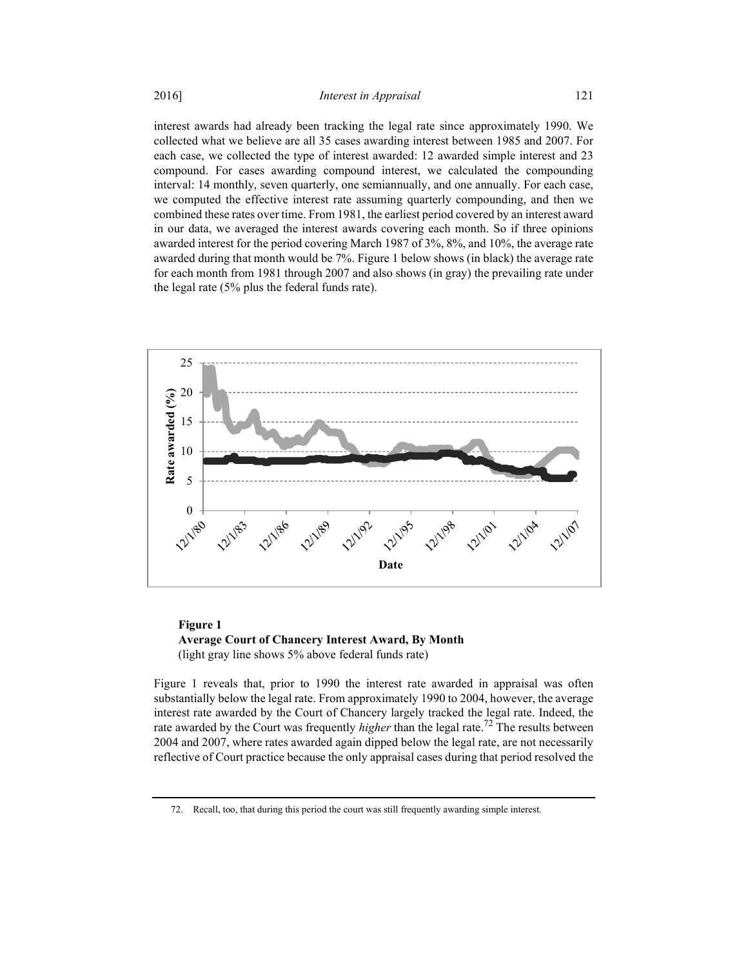interest awards had already been tracking the legal rate since approximately 1990. We collected what we believe are all 35 cases awarding interest between 1985 and 2007. For each case, we collected the type of interest awarded: 12 awarded simple interest and 23 compound. For cases awarding compound interest, we calculated the compounding interval: 14 monthly, seven quarterly, one semiannually, and one annually. For each case, we computed the effective interest rate assuming quarterly compounding, and then we combined these rates over time. From 1981, the earliest period covered by an interest award in our data, we averaged the interest awards covering each month. So if three opinions awarded interest for the period covering March 1987 of 3%, 8%, and 10%, the average rate awarded during that month would be 7%. Figure 1 below shows (in black) the average rate for each month from 1981 through 2007 and also shows (in gray) the prevailing rate under the legal rate (5% plus the federal funds rate).



## Figure 1 Average Court of Chancery Interest Award, By Month (light gray line shows 5% above federal funds rate)

Figure 1 reveals that, prior to 1990 the interest rate awarded in appraisal was often substantially below the legal rate. From approximately 1990 to 2004, however, the average interest rate awarded by the Court of Chancery largely tracked the legal rate. Indeed, the rate awarded by the Court was frequently *higher* than the legal rate.<sup>72</sup> The results between 2004 and 2007, where rates awarded again dipped below the legal rate, are not necessarily reflective of Court practice because the only appraisal cases during that period resolved the

 <sup>72.</sup> Recall, too, that during this period the court was still frequently awarding simple interest.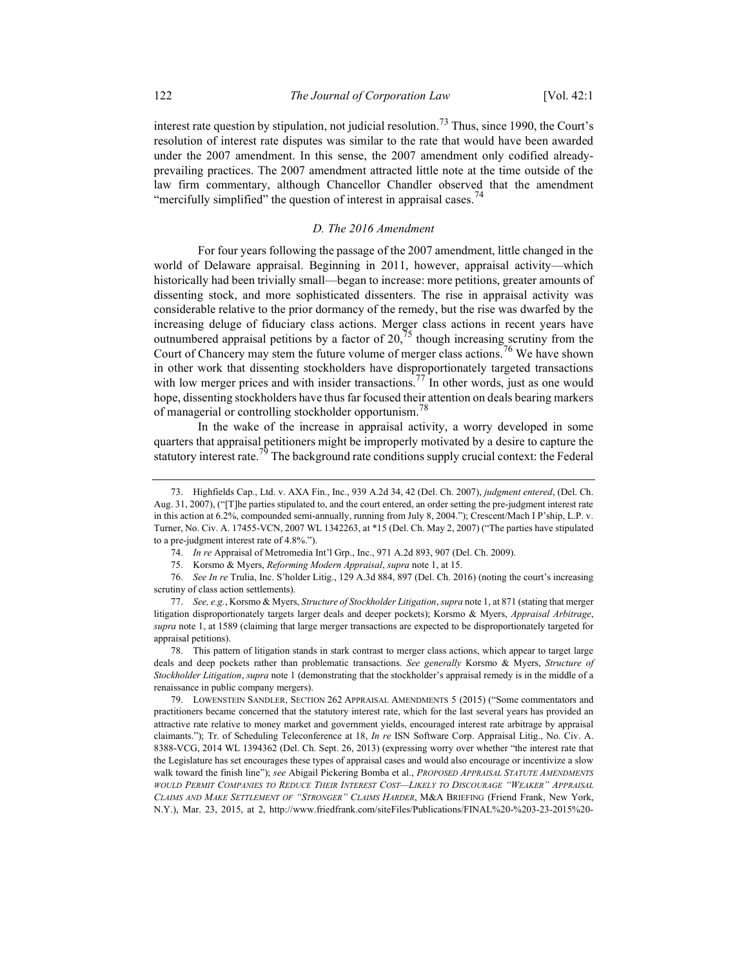interest rate question by stipulation, not judicial resolution.<sup>73</sup> Thus, since 1990, the Court's resolution of interest rate disputes was similar to the rate that would have been awarded under the 2007 amendment. In this sense, the 2007 amendment only codified alreadyprevailing practices. The 2007 amendment attracted little note at the time outside of the law firm commentary, although Chancellor Chandler observed that the amendment "mercifully simplified" the question of interest in appraisal cases.<sup>74</sup>

## D. The 2016 Amendment

For four years following the passage of the 2007 amendment, little changed in the world of Delaware appraisal. Beginning in 2011, however, appraisal activity—which historically had been trivially small—began to increase: more petitions, greater amounts of dissenting stock, and more sophisticated dissenters. The rise in appraisal activity was considerable relative to the prior dormancy of the remedy, but the rise was dwarfed by the increasing deluge of fiduciary class actions. Merger class actions in recent years have outnumbered appraisal petitions by a factor of  $20^{75}$ , though increasing scrutiny from the Court of Chancery may stem the future volume of merger class actions.<sup>76</sup> We have shown in other work that dissenting stockholders have disproportionately targeted transactions with low merger prices and with insider transactions.<sup>77</sup> In other words, just as one would hope, dissenting stockholders have thus far focused their attention on deals bearing markers of managerial or controlling stockholder opportunism.<sup>78</sup>

In the wake of the increase in appraisal activity, a worry developed in some quarters that appraisal petitioners might be improperly motivated by a desire to capture the statutory interest rate.<sup>79</sup> The background rate conditions supply crucial context: the Federal

74. In re Appraisal of Metromedia Int'l Grp., Inc., 971 A.2d 893, 907 (Del. Ch. 2009).

 79. LOWENSTEIN SANDLER, SECTION 262 APPRAISAL AMENDMENTS 5 (2015) ("Some commentators and practitioners became concerned that the statutory interest rate, which for the last several years has provided an attractive rate relative to money market and government yields, encouraged interest rate arbitrage by appraisal claimants."); Tr. of Scheduling Teleconference at 18, In re ISN Software Corp. Appraisal Litig., No. Civ. A. 8388-VCG, 2014 WL 1394362 (Del. Ch. Sept. 26, 2013) (expressing worry over whether "the interest rate that the Legislature has set encourages these types of appraisal cases and would also encourage or incentivize a slow walk toward the finish line"); see Abigail Pickering Bomba et al., PROPOSED APPRAISAL STATUTE AMENDMENTS WOULD PERMIT COMPANIES TO REDUCE THEIR INTEREST COST—LIKELY TO DISCOURAGE "WEAKER" APPRAISAL CLAIMS AND MAKE SETTLEMENT OF "STRONGER" CLAIMS HARDER, M&A BRIEFING (Friend Frank, New York, N.Y.), Mar. 23, 2015, at 2, http://www.friedfrank.com/siteFiles/Publications/FINAL%20-%203-23-2015%20-

 <sup>73.</sup> Highfields Cap., Ltd. v. AXA Fin., Inc., 939 A.2d 34, 42 (Del. Ch. 2007), judgment entered, (Del. Ch. Aug. 31, 2007), ("[T]he parties stipulated to, and the court entered, an order setting the pre-judgment interest rate in this action at 6.2%, compounded semi-annually, running from July 8, 2004."); Crescent/Mach I P'ship, L.P. v. Turner, No. Civ. A. 17455-VCN, 2007 WL 1342263, at \*15 (Del. Ch. May 2, 2007) ("The parties have stipulated to a pre-judgment interest rate of 4.8%.").

 <sup>75.</sup> Korsmo & Myers, Reforming Modern Appraisal, supra note 1, at 15.

 <sup>76.</sup> See In re Trulia, Inc. S'holder Litig., 129 A.3d 884, 897 (Del. Ch. 2016) (noting the court's increasing scrutiny of class action settlements).

 <sup>77.</sup> See, e.g., Korsmo & Myers, Structure of Stockholder Litigation, supra note 1, at 871 (stating that merger litigation disproportionately targets larger deals and deeper pockets); Korsmo & Myers, Appraisal Arbitrage, supra note 1, at 1589 (claiming that large merger transactions are expected to be disproportionately targeted for appraisal petitions).

 <sup>78.</sup> This pattern of litigation stands in stark contrast to merger class actions, which appear to target large deals and deep pockets rather than problematic transactions. See generally Korsmo & Myers, Structure of Stockholder Litigation, supra note 1 (demonstrating that the stockholder's appraisal remedy is in the middle of a renaissance in public company mergers).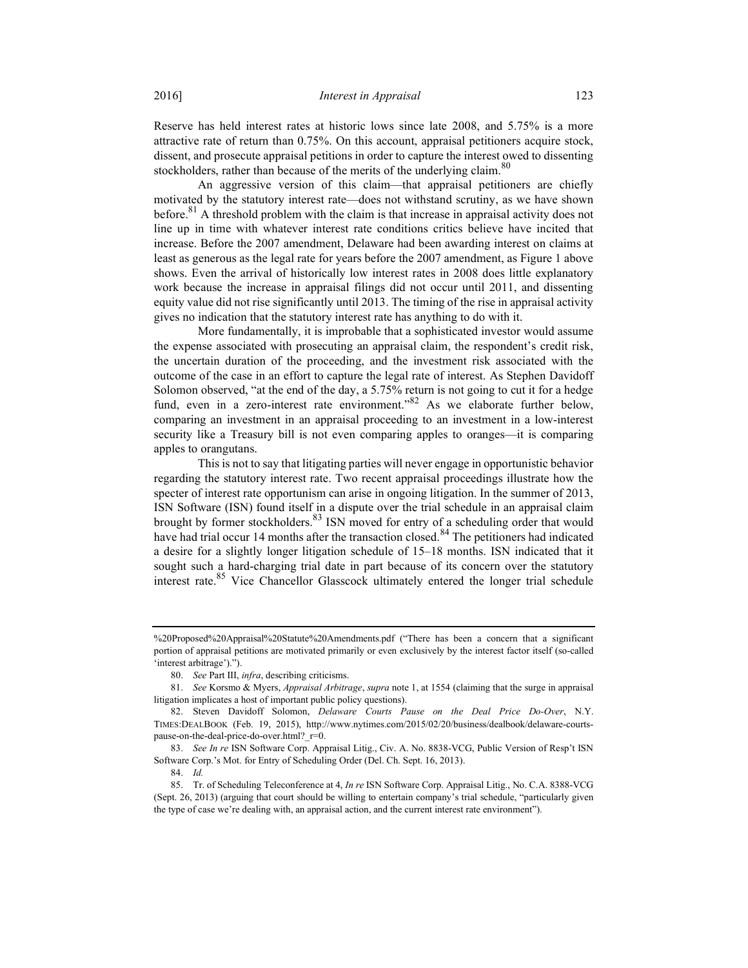Reserve has held interest rates at historic lows since late 2008, and 5.75% is a more attractive rate of return than 0.75%. On this account, appraisal petitioners acquire stock, dissent, and prosecute appraisal petitions in order to capture the interest owed to dissenting stockholders, rather than because of the merits of the underlying claim.<sup>80</sup>

An aggressive version of this claim—that appraisal petitioners are chiefly motivated by the statutory interest rate—does not withstand scrutiny, as we have shown before.<sup>81</sup> A threshold problem with the claim is that increase in appraisal activity does not line up in time with whatever interest rate conditions critics believe have incited that increase. Before the 2007 amendment, Delaware had been awarding interest on claims at least as generous as the legal rate for years before the 2007 amendment, as Figure 1 above shows. Even the arrival of historically low interest rates in 2008 does little explanatory work because the increase in appraisal filings did not occur until 2011, and dissenting equity value did not rise significantly until 2013. The timing of the rise in appraisal activity gives no indication that the statutory interest rate has anything to do with it.

More fundamentally, it is improbable that a sophisticated investor would assume the expense associated with prosecuting an appraisal claim, the respondent's credit risk, the uncertain duration of the proceeding, and the investment risk associated with the outcome of the case in an effort to capture the legal rate of interest. As Stephen Davidoff Solomon observed, "at the end of the day, a 5.75% return is not going to cut it for a hedge fund, even in a zero-interest rate environment."<sup>82</sup> As we elaborate further below, comparing an investment in an appraisal proceeding to an investment in a low-interest security like a Treasury bill is not even comparing apples to oranges—it is comparing apples to orangutans.

This is not to say that litigating parties will never engage in opportunistic behavior regarding the statutory interest rate. Two recent appraisal proceedings illustrate how the specter of interest rate opportunism can arise in ongoing litigation. In the summer of 2013, ISN Software (ISN) found itself in a dispute over the trial schedule in an appraisal claim brought by former stockholders.<sup>83</sup> ISN moved for entry of a scheduling order that would have had trial occur 14 months after the transaction closed.<sup>84</sup> The petitioners had indicated a desire for a slightly longer litigation schedule of 15–18 months. ISN indicated that it sought such a hard-charging trial date in part because of its concern over the statutory interest rate.<sup>85</sup> Vice Chancellor Glasscock ultimately entered the longer trial schedule

<sup>%20</sup>Proposed%20Appraisal%20Statute%20Amendments.pdf ("There has been a concern that a significant portion of appraisal petitions are motivated primarily or even exclusively by the interest factor itself (so-called 'interest arbitrage').").

<sup>80.</sup> See Part III, *infra*, describing criticisms.

 <sup>81.</sup> See Korsmo & Myers, Appraisal Arbitrage, supra note 1, at 1554 (claiming that the surge in appraisal litigation implicates a host of important public policy questions).

 <sup>82.</sup> Steven Davidoff Solomon, Delaware Courts Pause on the Deal Price Do-Over, N.Y. TIMES:DEALBOOK (Feb. 19, 2015), http://www.nytimes.com/2015/02/20/business/dealbook/delaware-courtspause-on-the-deal-price-do-over.html? r=0.

 <sup>83.</sup> See In re ISN Software Corp. Appraisal Litig., Civ. A. No. 8838-VCG, Public Version of Resp't ISN Software Corp.'s Mot. for Entry of Scheduling Order (Del. Ch. Sept. 16, 2013).

 <sup>84.</sup> Id.

<sup>85.</sup> Tr. of Scheduling Teleconference at 4, In re ISN Software Corp. Appraisal Litig., No. C.A. 8388-VCG (Sept. 26, 2013) (arguing that court should be willing to entertain company's trial schedule, "particularly given the type of case we're dealing with, an appraisal action, and the current interest rate environment").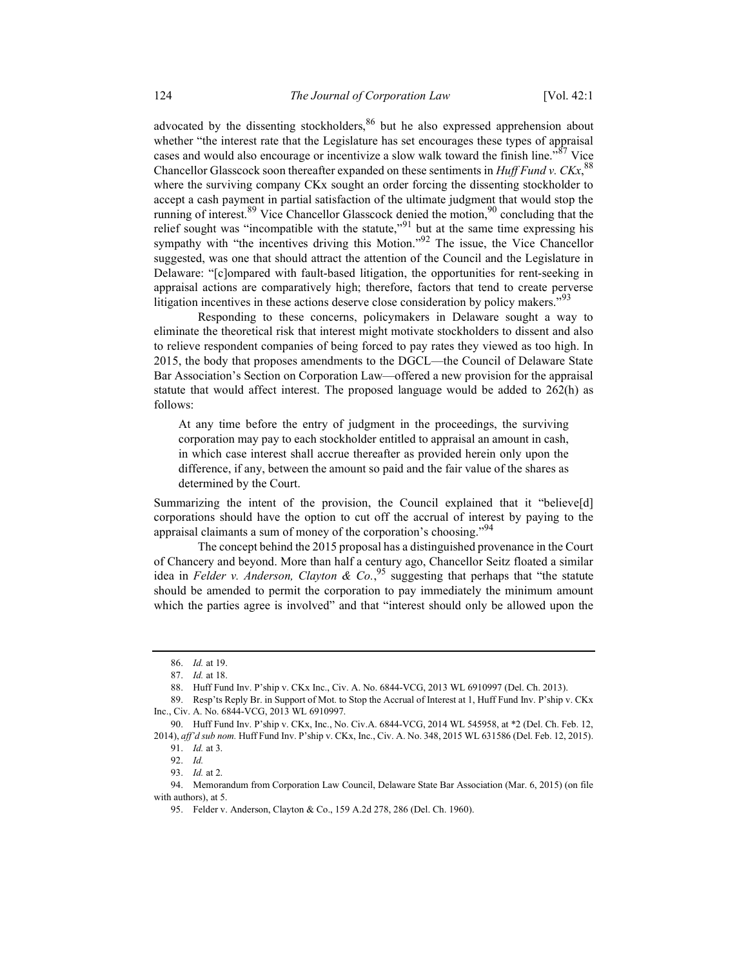advocated by the dissenting stockholders,  $86$  but he also expressed apprehension about whether "the interest rate that the Legislature has set encourages these types of appraisal cases and would also encourage or incentivize a slow walk toward the finish line."<sup>87</sup> Vice Chancellor Glasscock soon thereafter expanded on these sentiments in Huff Fund v.  $C K x$ ,  $88$ where the surviving company CKx sought an order forcing the dissenting stockholder to accept a cash payment in partial satisfaction of the ultimate judgment that would stop the running of interest.<sup>89</sup> Vice Chancellor Glasscock denied the motion,<sup>90</sup> concluding that the relief sought was "incompatible with the statute,"<sup>91</sup> but at the same time expressing his sympathy with "the incentives driving this Motion."<sup>92</sup> The issue, the Vice Chancellor suggested, was one that should attract the attention of the Council and the Legislature in Delaware: "[c]ompared with fault-based litigation, the opportunities for rent-seeking in appraisal actions are comparatively high; therefore, factors that tend to create perverse litigation incentives in these actions deserve close consideration by policy makers."<sup>93</sup>

Responding to these concerns, policymakers in Delaware sought a way to eliminate the theoretical risk that interest might motivate stockholders to dissent and also to relieve respondent companies of being forced to pay rates they viewed as too high. In 2015, the body that proposes amendments to the DGCL—the Council of Delaware State Bar Association's Section on Corporation Law—offered a new provision for the appraisal statute that would affect interest. The proposed language would be added to 262(h) as follows:

At any time before the entry of judgment in the proceedings, the surviving corporation may pay to each stockholder entitled to appraisal an amount in cash, in which case interest shall accrue thereafter as provided herein only upon the difference, if any, between the amount so paid and the fair value of the shares as determined by the Court.

Summarizing the intent of the provision, the Council explained that it "believe[d] corporations should have the option to cut off the accrual of interest by paying to the appraisal claimants a sum of money of the corporation's choosing."<sup>94</sup>

The concept behind the 2015 proposal has a distinguished provenance in the Court of Chancery and beyond. More than half a century ago, Chancellor Seitz floated a similar idea in Felder v. Anderson, Clayton & Co.<sup>95</sup> suggesting that perhaps that "the statute should be amended to permit the corporation to pay immediately the minimum amount which the parties agree is involved" and that "interest should only be allowed upon the

 <sup>86.</sup> Id. at 19.

 <sup>87.</sup> Id. at 18.

 <sup>88.</sup> Huff Fund Inv. P'ship v. CKx Inc., Civ. A. No. 6844-VCG, 2013 WL 6910997 (Del. Ch. 2013).

 <sup>89.</sup> Resp'ts Reply Br. in Support of Mot. to Stop the Accrual of Interest at 1, Huff Fund Inv. P'ship v. CKx Inc., Civ. A. No. 6844-VCG, 2013 WL 6910997.

 <sup>90.</sup> Huff Fund Inv. P'ship v. CKx, Inc., No. Civ.A. 6844-VCG, 2014 WL 545958, at \*2 (Del. Ch. Feb. 12, 2014), aff'd sub nom. Huff Fund Inv. P'ship v. CKx, Inc., Civ. A. No. 348, 2015 WL 631586 (Del. Feb. 12, 2015).

 <sup>91.</sup> Id. at 3.

 <sup>92.</sup> Id.

 <sup>93.</sup> Id. at 2.

 <sup>94.</sup> Memorandum from Corporation Law Council, Delaware State Bar Association (Mar. 6, 2015) (on file with authors), at 5.

 <sup>95.</sup> Felder v. Anderson, Clayton & Co., 159 A.2d 278, 286 (Del. Ch. 1960).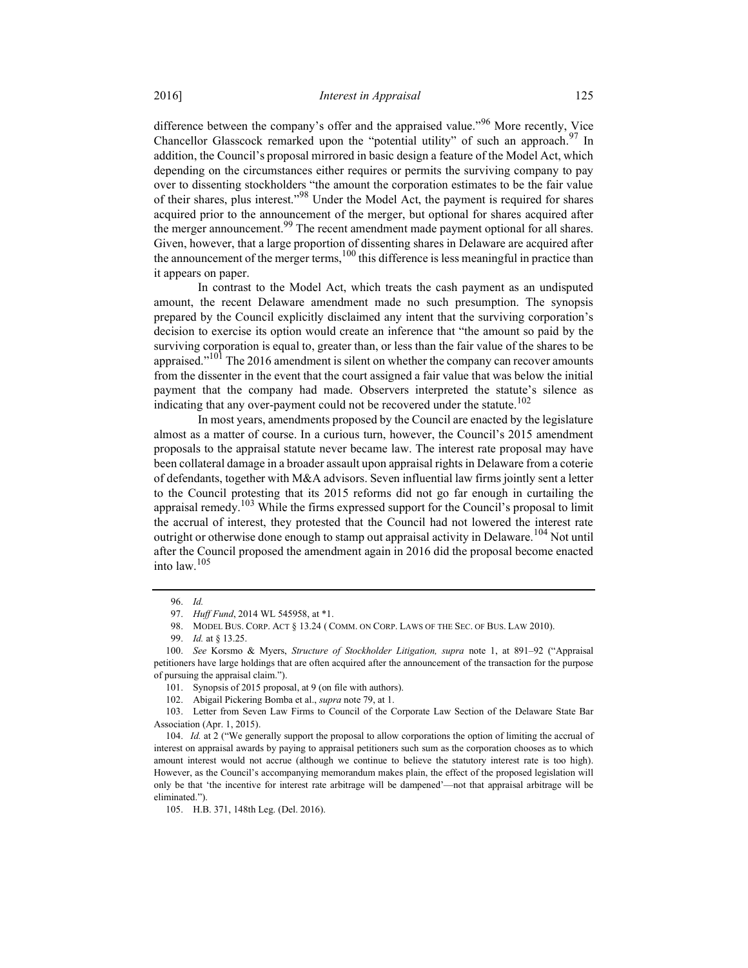difference between the company's offer and the appraised value."<sup>96</sup> More recently, Vice Chancellor Glasscock remarked upon the "potential utility" of such an approach. <sup>97</sup> In addition, the Council's proposal mirrored in basic design a feature of the Model Act, which depending on the circumstances either requires or permits the surviving company to pay over to dissenting stockholders "the amount the corporation estimates to be the fair value of their shares, plus interest."98 Under the Model Act, the payment is required for shares acquired prior to the announcement of the merger, but optional for shares acquired after the merger announcement.<sup>99</sup> The recent amendment made payment optional for all shares. Given, however, that a large proportion of dissenting shares in Delaware are acquired after the announcement of the merger terms,  $100$  this difference is less meaningful in practice than it appears on paper.

In contrast to the Model Act, which treats the cash payment as an undisputed amount, the recent Delaware amendment made no such presumption. The synopsis prepared by the Council explicitly disclaimed any intent that the surviving corporation's decision to exercise its option would create an inference that "the amount so paid by the surviving corporation is equal to, greater than, or less than the fair value of the shares to be appraised. $"^{101}$  The 2016 amendment is silent on whether the company can recover amounts from the dissenter in the event that the court assigned a fair value that was below the initial payment that the company had made. Observers interpreted the statute's silence as indicating that any over-payment could not be recovered under the statute.<sup>102</sup>

In most years, amendments proposed by the Council are enacted by the legislature almost as a matter of course. In a curious turn, however, the Council's 2015 amendment proposals to the appraisal statute never became law. The interest rate proposal may have been collateral damage in a broader assault upon appraisal rights in Delaware from a coterie of defendants, together with M&A advisors. Seven influential law firms jointly sent a letter to the Council protesting that its 2015 reforms did not go far enough in curtailing the appraisal remedy.<sup>103</sup> While the firms expressed support for the Council's proposal to limit the accrual of interest, they protested that the Council had not lowered the interest rate outright or otherwise done enough to stamp out appraisal activity in Delaware.<sup>104</sup> Not until after the Council proposed the amendment again in 2016 did the proposal become enacted into law.<sup>105</sup>

 <sup>96.</sup> Id.

<sup>97.</sup> Huff Fund, 2014 WL 545958, at \*1.

 <sup>98.</sup> MODEL BUS. CORP. ACT § 13.24 ( COMM. ON CORP. LAWS OF THE SEC. OF BUS. LAW 2010).

 <sup>99.</sup> Id. at § 13.25.

 <sup>100.</sup> See Korsmo & Myers, Structure of Stockholder Litigation, supra note 1, at 891–92 ("Appraisal petitioners have large holdings that are often acquired after the announcement of the transaction for the purpose of pursuing the appraisal claim.").

 <sup>101.</sup> Synopsis of 2015 proposal, at 9 (on file with authors).

 <sup>102.</sup> Abigail Pickering Bomba et al., supra note 79, at 1.

 <sup>103.</sup> Letter from Seven Law Firms to Council of the Corporate Law Section of the Delaware State Bar Association (Apr. 1, 2015).

 <sup>104.</sup> Id. at 2 ("We generally support the proposal to allow corporations the option of limiting the accrual of interest on appraisal awards by paying to appraisal petitioners such sum as the corporation chooses as to which amount interest would not accrue (although we continue to believe the statutory interest rate is too high). However, as the Council's accompanying memorandum makes plain, the effect of the proposed legislation will only be that 'the incentive for interest rate arbitrage will be dampened'—not that appraisal arbitrage will be eliminated.").

 <sup>105.</sup> H.B. 371, 148th Leg. (Del. 2016).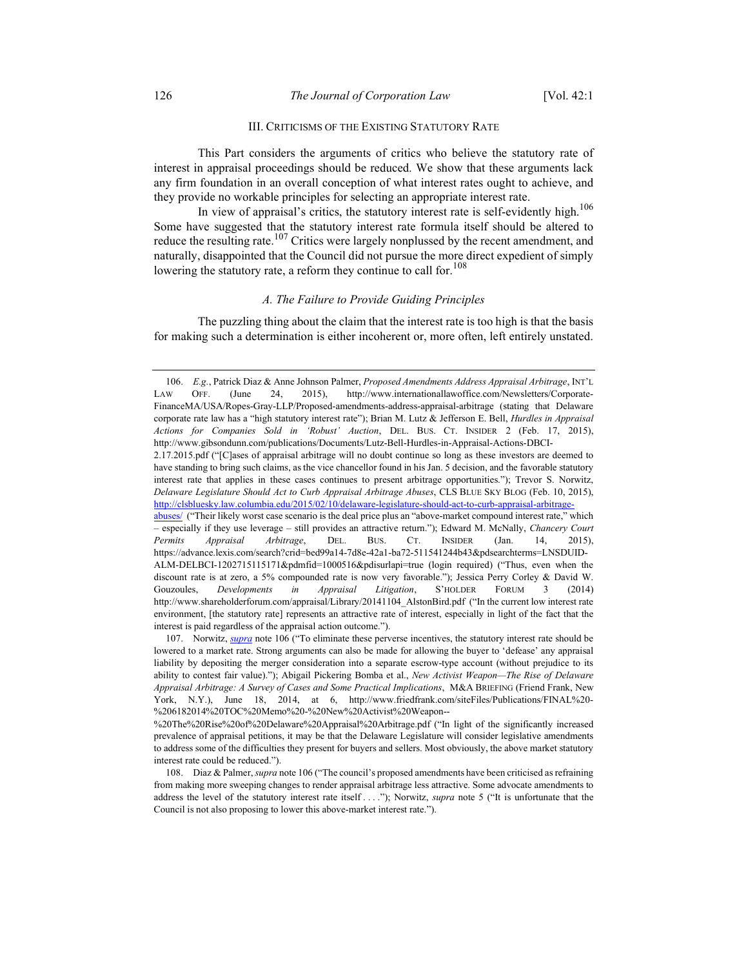## III. CRITICISMS OF THE EXISTING STATUTORY RATE

This Part considers the arguments of critics who believe the statutory rate of interest in appraisal proceedings should be reduced. We show that these arguments lack any firm foundation in an overall conception of what interest rates ought to achieve, and they provide no workable principles for selecting an appropriate interest rate.

In view of appraisal's critics, the statutory interest rate is self-evidently high.<sup>106</sup> Some have suggested that the statutory interest rate formula itself should be altered to reduce the resulting rate.<sup>107</sup> Critics were largely nonplussed by the recent amendment, and naturally, disappointed that the Council did not pursue the more direct expedient of simply lowering the statutory rate, a reform they continue to call for.<sup>108</sup>

#### A. The Failure to Provide Guiding Principles

The puzzling thing about the claim that the interest rate is too high is that the basis for making such a determination is either incoherent or, more often, left entirely unstated.

 <sup>106.</sup> E.g., Patrick Diaz & Anne Johnson Palmer, Proposed Amendments Address Appraisal Arbitrage, INT'L LAW OFF. (June 24, 2015), http://www.internationallawoffice.com/Newsletters/Corporate-FinanceMA/USA/Ropes-Gray-LLP/Proposed-amendments-address-appraisal-arbitrage (stating that Delaware corporate rate law has a "high statutory interest rate"); Brian M. Lutz & Jefferson E. Bell, Hurdles in Appraisal Actions for Companies Sold in 'Robust' Auction, DEL. BUS. CT. INSIDER 2 (Feb. 17, 2015), http://www.gibsondunn.com/publications/Documents/Lutz-Bell-Hurdles-in-Appraisal-Actions-DBCI-

<sup>2.17.2015.</sup>pdf ("[C]ases of appraisal arbitrage will no doubt continue so long as these investors are deemed to have standing to bring such claims, as the vice chancellor found in his Jan. 5 decision, and the favorable statutory interest rate that applies in these cases continues to present arbitrage opportunities."); Trevor S. Norwitz, Delaware Legislature Should Act to Curb Appraisal Arbitrage Abuses, CLS BLUE SKY BLOG (Feb. 10, 2015), http://clsbluesky.law.columbia.edu/2015/02/10/delaware-legislature-should-act-to-curb-appraisal-arbitrage-

abuses/ ("Their likely worst case scenario is the deal price plus an "above-market compound interest rate," which – especially if they use leverage – still provides an attractive return."); Edward M. McNally, Chancery Court Permits Appraisal Arbitrage, DEL. BUS. CT. INSIDER (Jan. 14, 2015), https://advance.lexis.com/search?crid=bed99a14-7d8e-42a1-ba72-511541244b43&pdsearchterms=LNSDUID-ALM-DELBCI-1202715115171&pdmfid=1000516&pdisurlapi=true (login required) ("Thus, even when the discount rate is at zero, a 5% compounded rate is now very favorable."); Jessica Perry Corley & David W. Gouzoules, Developments in Appraisal Litigation, S'HOLDER FORUM 3 (2014) http://www.shareholderforum.com/appraisal/Library/20141104\_AlstonBird.pdf ("In the current low interest rate environment, [the statutory rate] represents an attractive rate of interest, especially in light of the fact that the interest is paid regardless of the appraisal action outcome.").

<sup>107.</sup> Norwitz, *supra* note 106 ("To eliminate these perverse incentives, the statutory interest rate should be lowered to a market rate. Strong arguments can also be made for allowing the buyer to 'defease' any appraisal liability by depositing the merger consideration into a separate escrow-type account (without prejudice to its ability to contest fair value)."); Abigail Pickering Bomba et al., New Activist Weapon—The Rise of Delaware Appraisal Arbitrage: A Survey of Cases and Some Practical Implications, M&A BRIEFING (Friend Frank, New York, N.Y.), June 18, 2014, at 6, http://www.friedfrank.com/siteFiles/Publications/FINAL%20- %206182014%20TOC%20Memo%20-%20New%20Activist%20Weapon--

<sup>%20</sup>The%20Rise%20of%20Delaware%20Appraisal%20Arbitrage.pdf ("In light of the significantly increased prevalence of appraisal petitions, it may be that the Delaware Legislature will consider legislative amendments to address some of the difficulties they present for buyers and sellers. Most obviously, the above market statutory interest rate could be reduced.").

<sup>108.</sup> Diaz & Palmer, supra note 106 ("The council's proposed amendments have been criticised as refraining from making more sweeping changes to render appraisal arbitrage less attractive. Some advocate amendments to address the level of the statutory interest rate itself ...."); Norwitz, *supra* note 5 ("It is unfortunate that the Council is not also proposing to lower this above-market interest rate.").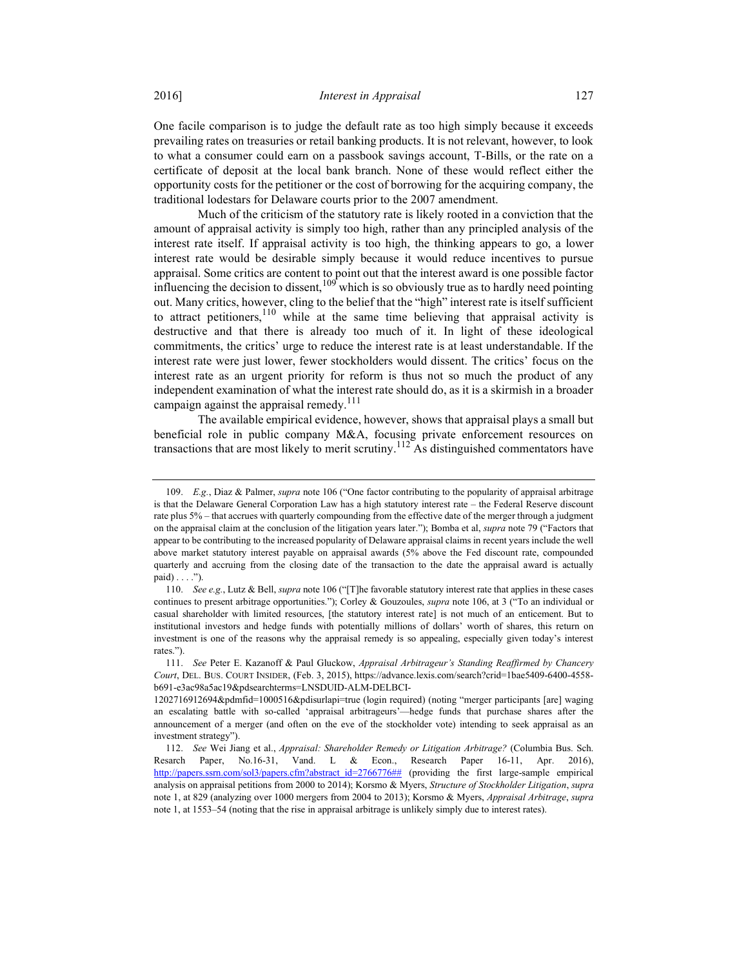One facile comparison is to judge the default rate as too high simply because it exceeds prevailing rates on treasuries or retail banking products. It is not relevant, however, to look to what a consumer could earn on a passbook savings account, T-Bills, or the rate on a certificate of deposit at the local bank branch. None of these would reflect either the opportunity costs for the petitioner or the cost of borrowing for the acquiring company, the traditional lodestars for Delaware courts prior to the 2007 amendment.

Much of the criticism of the statutory rate is likely rooted in a conviction that the amount of appraisal activity is simply too high, rather than any principled analysis of the interest rate itself. If appraisal activity is too high, the thinking appears to go, a lower interest rate would be desirable simply because it would reduce incentives to pursue appraisal. Some critics are content to point out that the interest award is one possible factor influencing the decision to dissent,  $10^9$  which is so obviously true as to hardly need pointing out. Many critics, however, cling to the belief that the "high" interest rate is itself sufficient to attract petitioners,  $110$  while at the same time believing that appraisal activity is destructive and that there is already too much of it. In light of these ideological commitments, the critics' urge to reduce the interest rate is at least understandable. If the interest rate were just lower, fewer stockholders would dissent. The critics' focus on the interest rate as an urgent priority for reform is thus not so much the product of any independent examination of what the interest rate should do, as it is a skirmish in a broader campaign against the appraisal remedy.<sup>111</sup>

The available empirical evidence, however, shows that appraisal plays a small but beneficial role in public company M&A, focusing private enforcement resources on transactions that are most likely to merit scrutiny.<sup>112</sup> As distinguished commentators have

 <sup>109.</sup> E.g., Diaz & Palmer, supra note 106 ("One factor contributing to the popularity of appraisal arbitrage is that the Delaware General Corporation Law has a high statutory interest rate – the Federal Reserve discount rate plus 5% – that accrues with quarterly compounding from the effective date of the merger through a judgment on the appraisal claim at the conclusion of the litigation years later."); Bomba et al, supra note 79 ("Factors that appear to be contributing to the increased popularity of Delaware appraisal claims in recent years include the well above market statutory interest payable on appraisal awards (5% above the Fed discount rate, compounded quarterly and accruing from the closing date of the transaction to the date the appraisal award is actually paid) . . . .").

<sup>110.</sup> See e.g., Lutz & Bell, supra note 106 ("[T]he favorable statutory interest rate that applies in these cases continues to present arbitrage opportunities."); Corley & Gouzoules, *supra* note 106, at 3 ("To an individual or casual shareholder with limited resources, [the statutory interest rate] is not much of an enticement. But to institutional investors and hedge funds with potentially millions of dollars' worth of shares, this return on investment is one of the reasons why the appraisal remedy is so appealing, especially given today's interest rates.").

 <sup>111.</sup> See Peter E. Kazanoff & Paul Gluckow, Appraisal Arbitrageur's Standing Reaffirmed by Chancery Court, DEL. BUS. COURT INSIDER, (Feb. 3, 2015), https://advance.lexis.com/search?crid=1bae5409-6400-4558 b691-e3ac98a5ac19&pdsearchterms=LNSDUID-ALM-DELBCI-

<sup>1202716912694&</sup>amp;pdmfid=1000516&pdisurlapi=true (login required) (noting "merger participants [are] waging an escalating battle with so-called 'appraisal arbitrageurs'—hedge funds that purchase shares after the announcement of a merger (and often on the eve of the stockholder vote) intending to seek appraisal as an investment strategy").

 <sup>112.</sup> See Wei Jiang et al., Appraisal: Shareholder Remedy or Litigation Arbitrage? (Columbia Bus. Sch. Resarch Paper, No.16-31, Vand. L & Econ., Research Paper 16-11, Apr. http://papers.ssrn.com/sol3/papers.cfm?abstract\_id=2766776## (providing the first large-sample empirical analysis on appraisal petitions from 2000 to 2014); Korsmo & Myers, Structure of Stockholder Litigation, supra note 1, at 829 (analyzing over 1000 mergers from 2004 to 2013); Korsmo & Myers, Appraisal Arbitrage, supra note 1, at 1553–54 (noting that the rise in appraisal arbitrage is unlikely simply due to interest rates).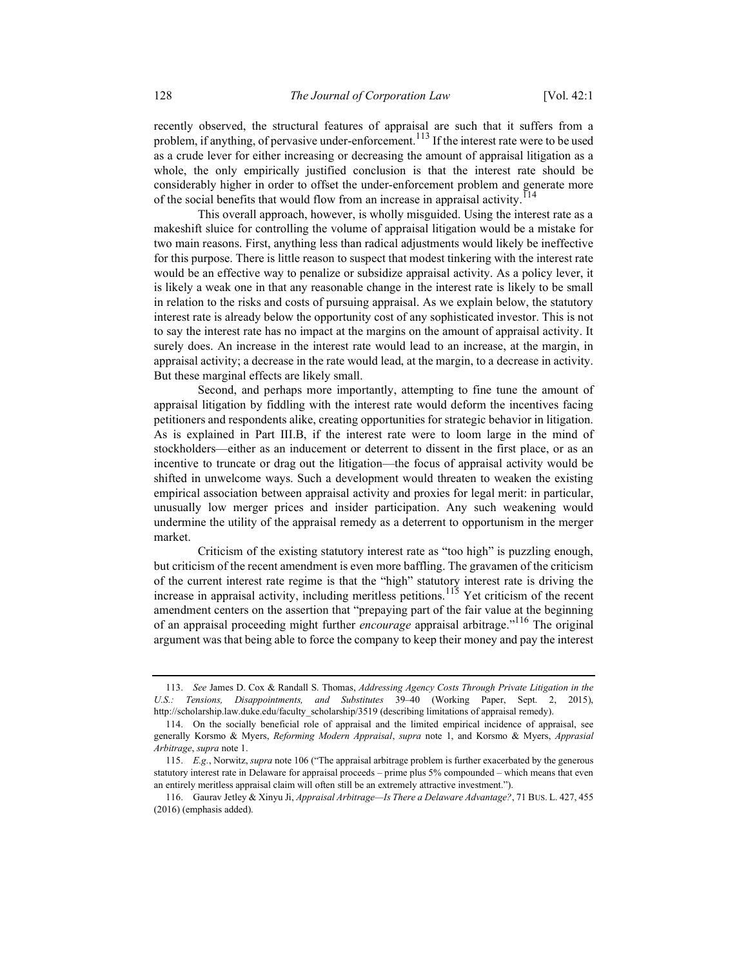recently observed, the structural features of appraisal are such that it suffers from a problem, if anything, of pervasive under-enforcement.<sup>113</sup> If the interest rate were to be used as a crude lever for either increasing or decreasing the amount of appraisal litigation as a whole, the only empirically justified conclusion is that the interest rate should be considerably higher in order to offset the under-enforcement problem and generate more of the social benefits that would flow from an increase in appraisal activity.<sup>114</sup>

This overall approach, however, is wholly misguided. Using the interest rate as a makeshift sluice for controlling the volume of appraisal litigation would be a mistake for two main reasons. First, anything less than radical adjustments would likely be ineffective for this purpose. There is little reason to suspect that modest tinkering with the interest rate would be an effective way to penalize or subsidize appraisal activity. As a policy lever, it is likely a weak one in that any reasonable change in the interest rate is likely to be small in relation to the risks and costs of pursuing appraisal. As we explain below, the statutory interest rate is already below the opportunity cost of any sophisticated investor. This is not to say the interest rate has no impact at the margins on the amount of appraisal activity. It surely does. An increase in the interest rate would lead to an increase, at the margin, in appraisal activity; a decrease in the rate would lead, at the margin, to a decrease in activity. But these marginal effects are likely small.

Second, and perhaps more importantly, attempting to fine tune the amount of appraisal litigation by fiddling with the interest rate would deform the incentives facing petitioners and respondents alike, creating opportunities for strategic behavior in litigation. As is explained in Part III.B, if the interest rate were to loom large in the mind of stockholders—either as an inducement or deterrent to dissent in the first place, or as an incentive to truncate or drag out the litigation—the focus of appraisal activity would be shifted in unwelcome ways. Such a development would threaten to weaken the existing empirical association between appraisal activity and proxies for legal merit: in particular, unusually low merger prices and insider participation. Any such weakening would undermine the utility of the appraisal remedy as a deterrent to opportunism in the merger market.

Criticism of the existing statutory interest rate as "too high" is puzzling enough, but criticism of the recent amendment is even more baffling. The gravamen of the criticism of the current interest rate regime is that the "high" statutory interest rate is driving the increase in appraisal activity, including meritless petitions.<sup>115</sup> Yet criticism of the recent amendment centers on the assertion that "prepaying part of the fair value at the beginning of an appraisal proceeding might further encourage appraisal arbitrage."<sup>116</sup> The original argument was that being able to force the company to keep their money and pay the interest

<sup>113.</sup> See James D. Cox & Randall S. Thomas, Addressing Agency Costs Through Private Litigation in the U.S.: Tensions, Disappointments, and Substitutes 39–40 (Working Paper, Sept. 2, 2015), http://scholarship.law.duke.edu/faculty\_scholarship/3519 (describing limitations of appraisal remedy).

 <sup>114.</sup> On the socially beneficial role of appraisal and the limited empirical incidence of appraisal, see generally Korsmo & Myers, Reforming Modern Appraisal, supra note 1, and Korsmo & Myers, Apprasial Arbitrage, supra note 1.

 <sup>115.</sup> E.g., Norwitz, supra note 106 ("The appraisal arbitrage problem is further exacerbated by the generous statutory interest rate in Delaware for appraisal proceeds – prime plus 5% compounded – which means that even an entirely meritless appraisal claim will often still be an extremely attractive investment.").

 <sup>116.</sup> Gaurav Jetley & Xinyu Ji, Appraisal Arbitrage—Is There a Delaware Advantage?, 71 BUS. L. 427, 455 (2016) (emphasis added).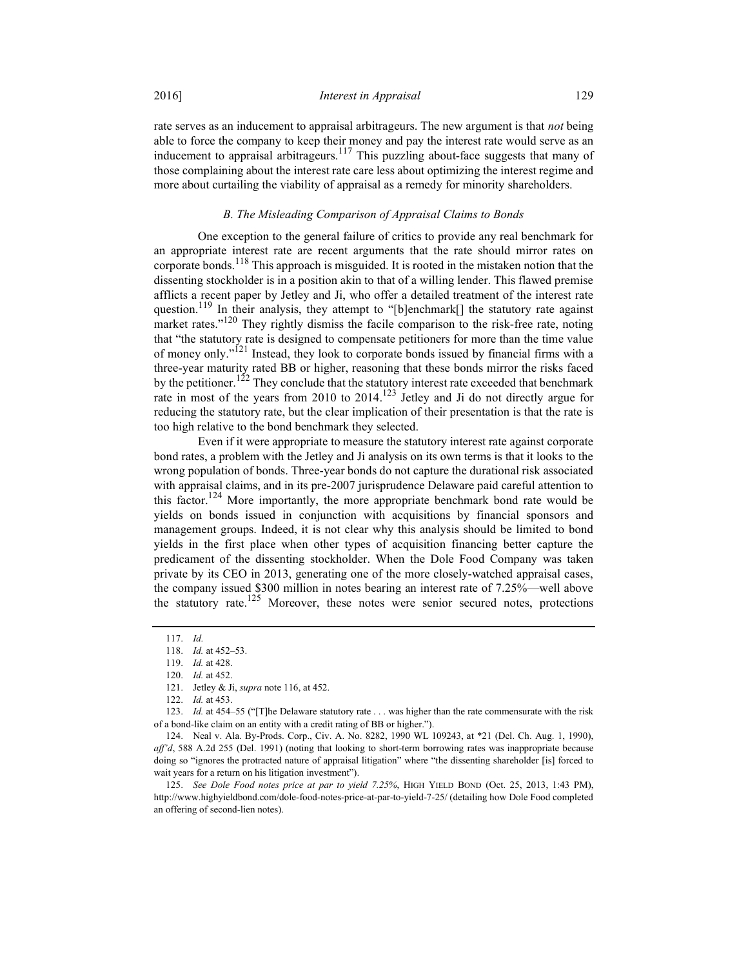rate serves as an inducement to appraisal arbitrageurs. The new argument is that *not* being able to force the company to keep their money and pay the interest rate would serve as an inducement to appraisal arbitrageurs.<sup>117</sup> This puzzling about-face suggests that many of those complaining about the interest rate care less about optimizing the interest regime and more about curtailing the viability of appraisal as a remedy for minority shareholders.

#### B. The Misleading Comparison of Appraisal Claims to Bonds

One exception to the general failure of critics to provide any real benchmark for an appropriate interest rate are recent arguments that the rate should mirror rates on corporate bonds.<sup>118</sup> This approach is misguided. It is rooted in the mistaken notion that the dissenting stockholder is in a position akin to that of a willing lender. This flawed premise afflicts a recent paper by Jetley and Ji, who offer a detailed treatment of the interest rate question.<sup>119</sup> In their analysis, they attempt to "[b]enchmark[] the statutory rate against market rates."<sup>120</sup> They rightly dismiss the facile comparison to the risk-free rate, noting that "the statutory rate is designed to compensate petitioners for more than the time value of money only."121 Instead, they look to corporate bonds issued by financial firms with a three-year maturity rated BB or higher, reasoning that these bonds mirror the risks faced by the petitioner.<sup>122</sup> They conclude that the statutory interest rate exceeded that benchmark rate in most of the years from 2010 to 2014.<sup>123</sup> Jetley and Ji do not directly argue for reducing the statutory rate, but the clear implication of their presentation is that the rate is too high relative to the bond benchmark they selected.

Even if it were appropriate to measure the statutory interest rate against corporate bond rates, a problem with the Jetley and Ji analysis on its own terms is that it looks to the wrong population of bonds. Three-year bonds do not capture the durational risk associated with appraisal claims, and in its pre-2007 jurisprudence Delaware paid careful attention to this factor.<sup>124</sup> More importantly, the more appropriate benchmark bond rate would be yields on bonds issued in conjunction with acquisitions by financial sponsors and management groups. Indeed, it is not clear why this analysis should be limited to bond yields in the first place when other types of acquisition financing better capture the predicament of the dissenting stockholder. When the Dole Food Company was taken private by its CEO in 2013, generating one of the more closely-watched appraisal cases, the company issued \$300 million in notes bearing an interest rate of 7.25%—well above the statutory rate.<sup>125</sup> Moreover, these notes were senior secured notes, protections

123. Id. at 454–55 ("[T]he Delaware statutory rate . . . was higher than the rate commensurate with the risk of a bond-like claim on an entity with a credit rating of BB or higher.").

 124. Neal v. Ala. By-Prods. Corp., Civ. A. No. 8282, 1990 WL 109243, at \*21 (Del. Ch. Aug. 1, 1990), aff'd, 588 A.2d 255 (Del. 1991) (noting that looking to short-term borrowing rates was inappropriate because doing so "ignores the protracted nature of appraisal litigation" where "the dissenting shareholder [is] forced to wait years for a return on his litigation investment").

 125. See Dole Food notes price at par to yield 7.25%, HIGH YIELD BOND (Oct. 25, 2013, 1:43 PM), http://www.highyieldbond.com/dole-food-notes-price-at-par-to-yield-7-25/ (detailing how Dole Food completed an offering of second-lien notes).

 <sup>117.</sup> Id.

 <sup>118.</sup> Id. at 452–53.

 <sup>119.</sup> Id. at 428.

 <sup>120.</sup> Id. at 452.

<sup>121.</sup> Jetley & Ji, *supra* note 116, at 452.

 <sup>122.</sup> Id. at 453.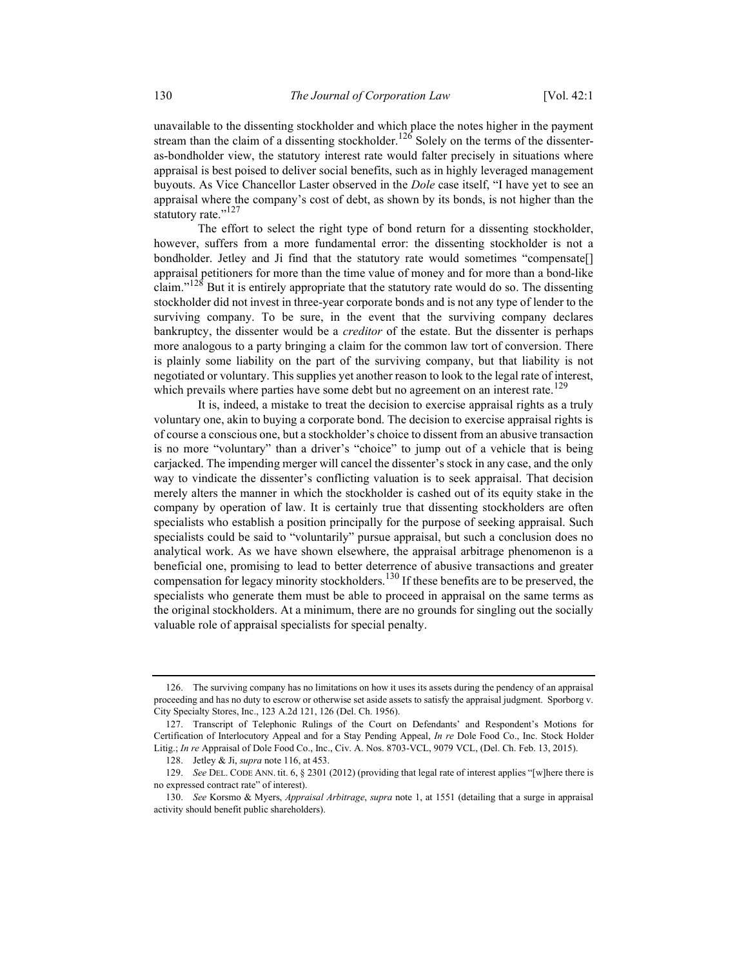unavailable to the dissenting stockholder and which place the notes higher in the payment stream than the claim of a dissenting stockholder.<sup>126</sup> Solely on the terms of the dissenteras-bondholder view, the statutory interest rate would falter precisely in situations where appraisal is best poised to deliver social benefits, such as in highly leveraged management buyouts. As Vice Chancellor Laster observed in the Dole case itself, "I have yet to see an appraisal where the company's cost of debt, as shown by its bonds, is not higher than the statutory rate."<sup>127</sup>

The effort to select the right type of bond return for a dissenting stockholder, however, suffers from a more fundamental error: the dissenting stockholder is not a bondholder. Jetley and Ji find that the statutory rate would sometimes "compensate[] appraisal petitioners for more than the time value of money and for more than a bond-like claim."<sup>128</sup> But it is entirely appropriate that the statutory rate would do so. The dissenting stockholder did not invest in three-year corporate bonds and is not any type of lender to the surviving company. To be sure, in the event that the surviving company declares bankruptcy, the dissenter would be a *creditor* of the estate. But the dissenter is perhaps more analogous to a party bringing a claim for the common law tort of conversion. There is plainly some liability on the part of the surviving company, but that liability is not negotiated or voluntary. This supplies yet another reason to look to the legal rate of interest, which prevails where parties have some debt but no agreement on an interest rate.<sup>129</sup>

It is, indeed, a mistake to treat the decision to exercise appraisal rights as a truly voluntary one, akin to buying a corporate bond. The decision to exercise appraisal rights is of course a conscious one, but a stockholder's choice to dissent from an abusive transaction is no more "voluntary" than a driver's "choice" to jump out of a vehicle that is being carjacked. The impending merger will cancel the dissenter's stock in any case, and the only way to vindicate the dissenter's conflicting valuation is to seek appraisal. That decision merely alters the manner in which the stockholder is cashed out of its equity stake in the company by operation of law. It is certainly true that dissenting stockholders are often specialists who establish a position principally for the purpose of seeking appraisal. Such specialists could be said to "voluntarily" pursue appraisal, but such a conclusion does no analytical work. As we have shown elsewhere, the appraisal arbitrage phenomenon is a beneficial one, promising to lead to better deterrence of abusive transactions and greater compensation for legacy minority stockholders.<sup>130</sup> If these benefits are to be preserved, the specialists who generate them must be able to proceed in appraisal on the same terms as the original stockholders. At a minimum, there are no grounds for singling out the socially valuable role of appraisal specialists for special penalty.

 <sup>126.</sup> The surviving company has no limitations on how it uses its assets during the pendency of an appraisal proceeding and has no duty to escrow or otherwise set aside assets to satisfy the appraisal judgment. Sporborg v. City Specialty Stores, Inc., 123 A.2d 121, 126 (Del. Ch. 1956).

 <sup>127.</sup> Transcript of Telephonic Rulings of the Court on Defendants' and Respondent's Motions for Certification of Interlocutory Appeal and for a Stay Pending Appeal, In re Dole Food Co., Inc. Stock Holder Litig.; In re Appraisal of Dole Food Co., Inc., Civ. A. Nos. 8703-VCL, 9079 VCL, (Del. Ch. Feb. 13, 2015).

<sup>128.</sup> Jetley & Ji, *supra* note 116, at 453.

 <sup>129.</sup> See DEL. CODE ANN. tit. 6, § 2301 (2012) (providing that legal rate of interest applies "[w]here there is no expressed contract rate" of interest).

 <sup>130.</sup> See Korsmo & Myers, Appraisal Arbitrage, supra note 1, at 1551 (detailing that a surge in appraisal activity should benefit public shareholders).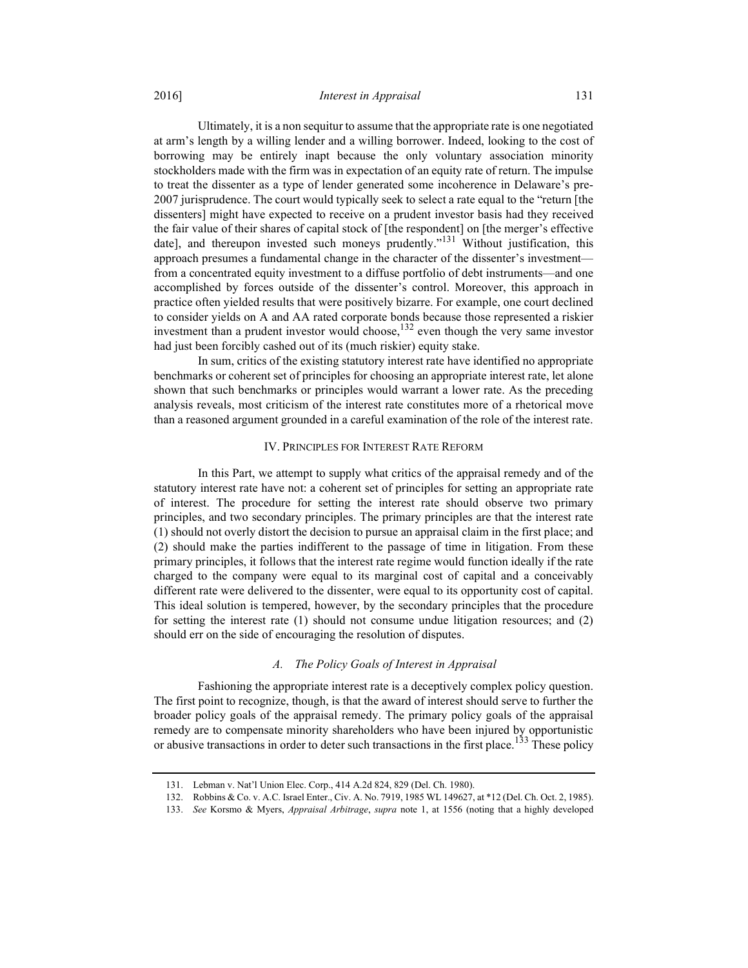Ultimately, it is a non sequitur to assume that the appropriate rate is one negotiated at arm's length by a willing lender and a willing borrower. Indeed, looking to the cost of borrowing may be entirely inapt because the only voluntary association minority stockholders made with the firm was in expectation of an equity rate of return. The impulse to treat the dissenter as a type of lender generated some incoherence in Delaware's pre-2007 jurisprudence. The court would typically seek to select a rate equal to the "return [the dissenters] might have expected to receive on a prudent investor basis had they received the fair value of their shares of capital stock of [the respondent] on [the merger's effective date], and thereupon invested such moneys prudently."<sup>131</sup> Without justification, this approach presumes a fundamental change in the character of the dissenter's investment from a concentrated equity investment to a diffuse portfolio of debt instruments—and one accomplished by forces outside of the dissenter's control. Moreover, this approach in practice often yielded results that were positively bizarre. For example, one court declined

to consider yields on A and AA rated corporate bonds because those represented a riskier investment than a prudent investor would choose,  $^{132}$  even though the very same investor had just been forcibly cashed out of its (much riskier) equity stake.

In sum, critics of the existing statutory interest rate have identified no appropriate benchmarks or coherent set of principles for choosing an appropriate interest rate, let alone shown that such benchmarks or principles would warrant a lower rate. As the preceding analysis reveals, most criticism of the interest rate constitutes more of a rhetorical move than a reasoned argument grounded in a careful examination of the role of the interest rate.

#### IV. PRINCIPLES FOR INTEREST RATE REFORM

In this Part, we attempt to supply what critics of the appraisal remedy and of the statutory interest rate have not: a coherent set of principles for setting an appropriate rate of interest. The procedure for setting the interest rate should observe two primary principles, and two secondary principles. The primary principles are that the interest rate (1) should not overly distort the decision to pursue an appraisal claim in the first place; and (2) should make the parties indifferent to the passage of time in litigation. From these primary principles, it follows that the interest rate regime would function ideally if the rate charged to the company were equal to its marginal cost of capital and a conceivably different rate were delivered to the dissenter, were equal to its opportunity cost of capital. This ideal solution is tempered, however, by the secondary principles that the procedure for setting the interest rate (1) should not consume undue litigation resources; and (2) should err on the side of encouraging the resolution of disputes.

### A. The Policy Goals of Interest in Appraisal

Fashioning the appropriate interest rate is a deceptively complex policy question. The first point to recognize, though, is that the award of interest should serve to further the broader policy goals of the appraisal remedy. The primary policy goals of the appraisal remedy are to compensate minority shareholders who have been injured by opportunistic or abusive transactions in order to deter such transactions in the first place.<sup>133</sup> These policy

 <sup>131.</sup> Lebman v. Nat'l Union Elec. Corp., 414 A.2d 824, 829 (Del. Ch. 1980).

 <sup>132.</sup> Robbins & Co. v. A.C. Israel Enter., Civ. A. No. 7919, 1985 WL 149627, at \*12 (Del. Ch. Oct. 2, 1985).

 <sup>133.</sup> See Korsmo & Myers, Appraisal Arbitrage, supra note 1, at 1556 (noting that a highly developed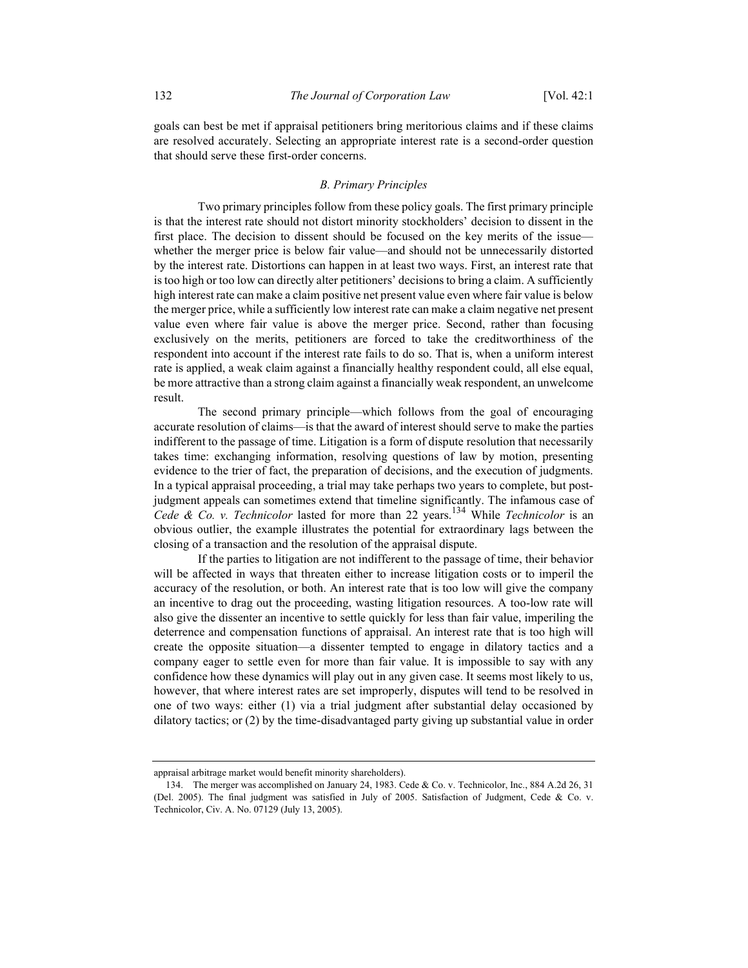goals can best be met if appraisal petitioners bring meritorious claims and if these claims are resolved accurately. Selecting an appropriate interest rate is a second-order question that should serve these first-order concerns.

## B. Primary Principles

Two primary principles follow from these policy goals. The first primary principle is that the interest rate should not distort minority stockholders' decision to dissent in the first place. The decision to dissent should be focused on the key merits of the issue whether the merger price is below fair value—and should not be unnecessarily distorted by the interest rate. Distortions can happen in at least two ways. First, an interest rate that is too high or too low can directly alter petitioners' decisions to bring a claim. A sufficiently high interest rate can make a claim positive net present value even where fair value is below the merger price, while a sufficiently low interest rate can make a claim negative net present value even where fair value is above the merger price. Second, rather than focusing exclusively on the merits, petitioners are forced to take the creditworthiness of the respondent into account if the interest rate fails to do so. That is, when a uniform interest rate is applied, a weak claim against a financially healthy respondent could, all else equal, be more attractive than a strong claim against a financially weak respondent, an unwelcome result.

The second primary principle—which follows from the goal of encouraging accurate resolution of claims—is that the award of interest should serve to make the parties indifferent to the passage of time. Litigation is a form of dispute resolution that necessarily takes time: exchanging information, resolving questions of law by motion, presenting evidence to the trier of fact, the preparation of decisions, and the execution of judgments. In a typical appraisal proceeding, a trial may take perhaps two years to complete, but postjudgment appeals can sometimes extend that timeline significantly. The infamous case of Cede & Co. v. Technicolor lasted for more than 22 years.<sup>134</sup> While Technicolor is an obvious outlier, the example illustrates the potential for extraordinary lags between the closing of a transaction and the resolution of the appraisal dispute.

If the parties to litigation are not indifferent to the passage of time, their behavior will be affected in ways that threaten either to increase litigation costs or to imperil the accuracy of the resolution, or both. An interest rate that is too low will give the company an incentive to drag out the proceeding, wasting litigation resources. A too-low rate will also give the dissenter an incentive to settle quickly for less than fair value, imperiling the deterrence and compensation functions of appraisal. An interest rate that is too high will create the opposite situation—a dissenter tempted to engage in dilatory tactics and a company eager to settle even for more than fair value. It is impossible to say with any confidence how these dynamics will play out in any given case. It seems most likely to us, however, that where interest rates are set improperly, disputes will tend to be resolved in one of two ways: either (1) via a trial judgment after substantial delay occasioned by dilatory tactics; or (2) by the time-disadvantaged party giving up substantial value in order

appraisal arbitrage market would benefit minority shareholders).

 <sup>134.</sup> The merger was accomplished on January 24, 1983. Cede & Co. v. Technicolor, Inc., 884 A.2d 26, 31 (Del. 2005). The final judgment was satisfied in July of 2005. Satisfaction of Judgment, Cede & Co. v. Technicolor, Civ. A. No. 07129 (July 13, 2005).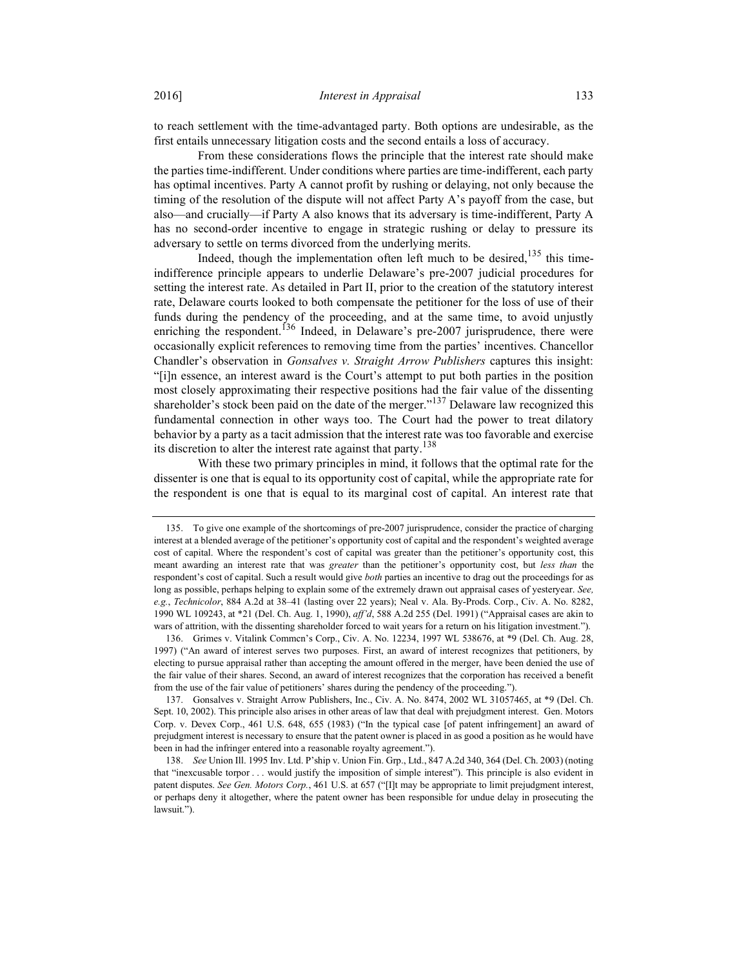to reach settlement with the time-advantaged party. Both options are undesirable, as the first entails unnecessary litigation costs and the second entails a loss of accuracy.

From these considerations flows the principle that the interest rate should make the parties time-indifferent. Under conditions where parties are time-indifferent, each party has optimal incentives. Party A cannot profit by rushing or delaying, not only because the timing of the resolution of the dispute will not affect Party A's payoff from the case, but also—and crucially—if Party A also knows that its adversary is time-indifferent, Party A has no second-order incentive to engage in strategic rushing or delay to pressure its adversary to settle on terms divorced from the underlying merits.

Indeed, though the implementation often left much to be desired, $135$  this timeindifference principle appears to underlie Delaware's pre-2007 judicial procedures for setting the interest rate. As detailed in Part II, prior to the creation of the statutory interest rate, Delaware courts looked to both compensate the petitioner for the loss of use of their funds during the pendency of the proceeding, and at the same time, to avoid unjustly enriching the respondent.<sup>136</sup> Indeed, in Delaware's pre-2007 jurisprudence, there were occasionally explicit references to removing time from the parties' incentives. Chancellor Chandler's observation in Gonsalves v. Straight Arrow Publishers captures this insight: "[i]n essence, an interest award is the Court's attempt to put both parties in the position most closely approximating their respective positions had the fair value of the dissenting shareholder's stock been paid on the date of the merger."<sup>137</sup> Delaware law recognized this fundamental connection in other ways too. The Court had the power to treat dilatory behavior by a party as a tacit admission that the interest rate was too favorable and exercise its discretion to alter the interest rate against that party.<sup>138</sup>

With these two primary principles in mind, it follows that the optimal rate for the dissenter is one that is equal to its opportunity cost of capital, while the appropriate rate for the respondent is one that is equal to its marginal cost of capital. An interest rate that

 <sup>135.</sup> To give one example of the shortcomings of pre-2007 jurisprudence, consider the practice of charging interest at a blended average of the petitioner's opportunity cost of capital and the respondent's weighted average cost of capital. Where the respondent's cost of capital was greater than the petitioner's opportunity cost, this meant awarding an interest rate that was greater than the petitioner's opportunity cost, but less than the respondent's cost of capital. Such a result would give *both* parties an incentive to drag out the proceedings for as long as possible, perhaps helping to explain some of the extremely drawn out appraisal cases of yesteryear. See, e.g., Technicolor, 884 A.2d at 38–41 (lasting over 22 years); Neal v. Ala. By-Prods. Corp., Civ. A. No. 8282, 1990 WL 109243, at \*21 (Del. Ch. Aug. 1, 1990), aff'd, 588 A.2d 255 (Del. 1991) ("Appraisal cases are akin to wars of attrition, with the dissenting shareholder forced to wait years for a return on his litigation investment.").

 <sup>136.</sup> Grimes v. Vitalink Commcn's Corp., Civ. A. No. 12234, 1997 WL 538676, at \*9 (Del. Ch. Aug. 28, 1997) ("An award of interest serves two purposes. First, an award of interest recognizes that petitioners, by electing to pursue appraisal rather than accepting the amount offered in the merger, have been denied the use of the fair value of their shares. Second, an award of interest recognizes that the corporation has received a benefit from the use of the fair value of petitioners' shares during the pendency of the proceeding.").

 <sup>137.</sup> Gonsalves v. Straight Arrow Publishers, Inc., Civ. A. No. 8474, 2002 WL 31057465, at \*9 (Del. Ch. Sept. 10, 2002). This principle also arises in other areas of law that deal with prejudgment interest. Gen. Motors Corp. v. Devex Corp., 461 U.S. 648, 655 (1983) ("In the typical case [of patent infringement] an award of prejudgment interest is necessary to ensure that the patent owner is placed in as good a position as he would have been in had the infringer entered into a reasonable royalty agreement.").

 <sup>138.</sup> See Union Ill. 1995 Inv. Ltd. P'ship v. Union Fin. Grp., Ltd., 847 A.2d 340, 364 (Del. Ch. 2003) (noting that "inexcusable torpor . . . would justify the imposition of simple interest"). This principle is also evident in patent disputes. See Gen. Motors Corp., 461 U.S. at 657 ("[I]t may be appropriate to limit prejudgment interest, or perhaps deny it altogether, where the patent owner has been responsible for undue delay in prosecuting the lawsuit.").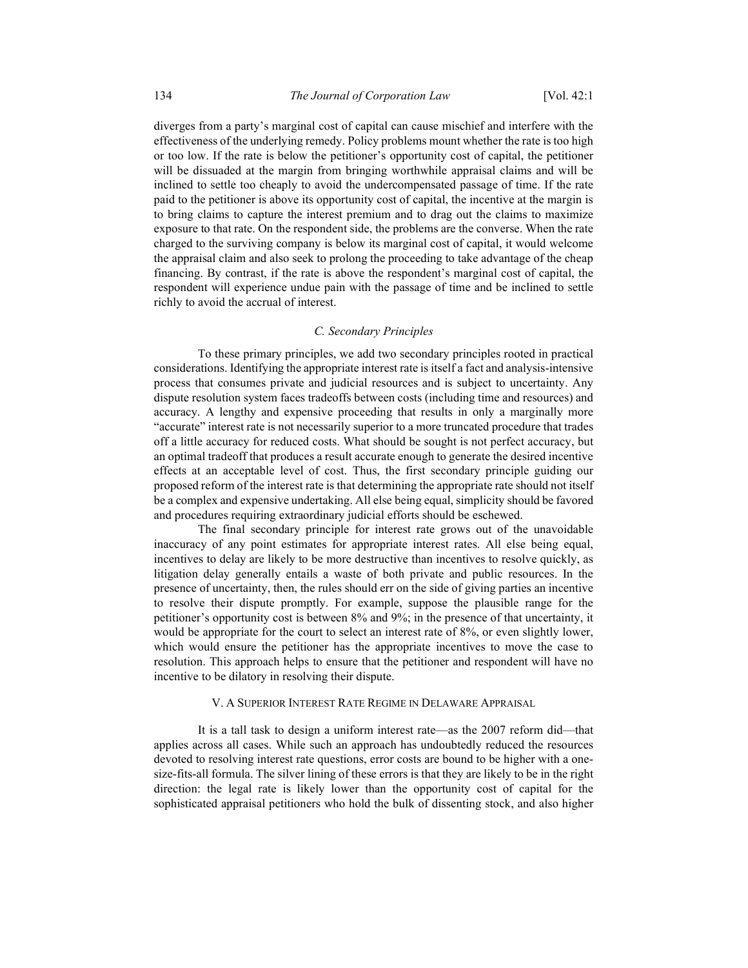diverges from a party's marginal cost of capital can cause mischief and interfere with the effectiveness of the underlying remedy. Policy problems mount whether the rate is too high or too low. If the rate is below the petitioner's opportunity cost of capital, the petitioner will be dissuaded at the margin from bringing worthwhile appraisal claims and will be inclined to settle too cheaply to avoid the undercompensated passage of time. If the rate paid to the petitioner is above its opportunity cost of capital, the incentive at the margin is to bring claims to capture the interest premium and to drag out the claims to maximize exposure to that rate. On the respondent side, the problems are the converse. When the rate charged to the surviving company is below its marginal cost of capital, it would welcome the appraisal claim and also seek to prolong the proceeding to take advantage of the cheap financing. By contrast, if the rate is above the respondent's marginal cost of capital, the respondent will experience undue pain with the passage of time and be inclined to settle richly to avoid the accrual of interest.

#### C. Secondary Principles

To these primary principles, we add two secondary principles rooted in practical considerations. Identifying the appropriate interest rate is itself a fact and analysis-intensive process that consumes private and judicial resources and is subject to uncertainty. Any dispute resolution system faces tradeoffs between costs (including time and resources) and accuracy. A lengthy and expensive proceeding that results in only a marginally more "accurate" interest rate is not necessarily superior to a more truncated procedure that trades off a little accuracy for reduced costs. What should be sought is not perfect accuracy, but an optimal tradeoff that produces a result accurate enough to generate the desired incentive effects at an acceptable level of cost. Thus, the first secondary principle guiding our proposed reform of the interest rate is that determining the appropriate rate should not itself be a complex and expensive undertaking. All else being equal, simplicity should be favored and procedures requiring extraordinary judicial efforts should be eschewed.

The final secondary principle for interest rate grows out of the unavoidable inaccuracy of any point estimates for appropriate interest rates. All else being equal, incentives to delay are likely to be more destructive than incentives to resolve quickly, as litigation delay generally entails a waste of both private and public resources. In the presence of uncertainty, then, the rules should err on the side of giving parties an incentive to resolve their dispute promptly. For example, suppose the plausible range for the petitioner's opportunity cost is between 8% and 9%; in the presence of that uncertainty, it would be appropriate for the court to select an interest rate of 8%, or even slightly lower, which would ensure the petitioner has the appropriate incentives to move the case to resolution. This approach helps to ensure that the petitioner and respondent will have no incentive to be dilatory in resolving their dispute.

#### V. A SUPERIOR INTEREST RATE REGIME IN DELAWARE APPRAISAL

It is a tall task to design a uniform interest rate—as the 2007 reform did—that applies across all cases. While such an approach has undoubtedly reduced the resources devoted to resolving interest rate questions, error costs are bound to be higher with a onesize-fits-all formula. The silver lining of these errors is that they are likely to be in the right direction: the legal rate is likely lower than the opportunity cost of capital for the sophisticated appraisal petitioners who hold the bulk of dissenting stock, and also higher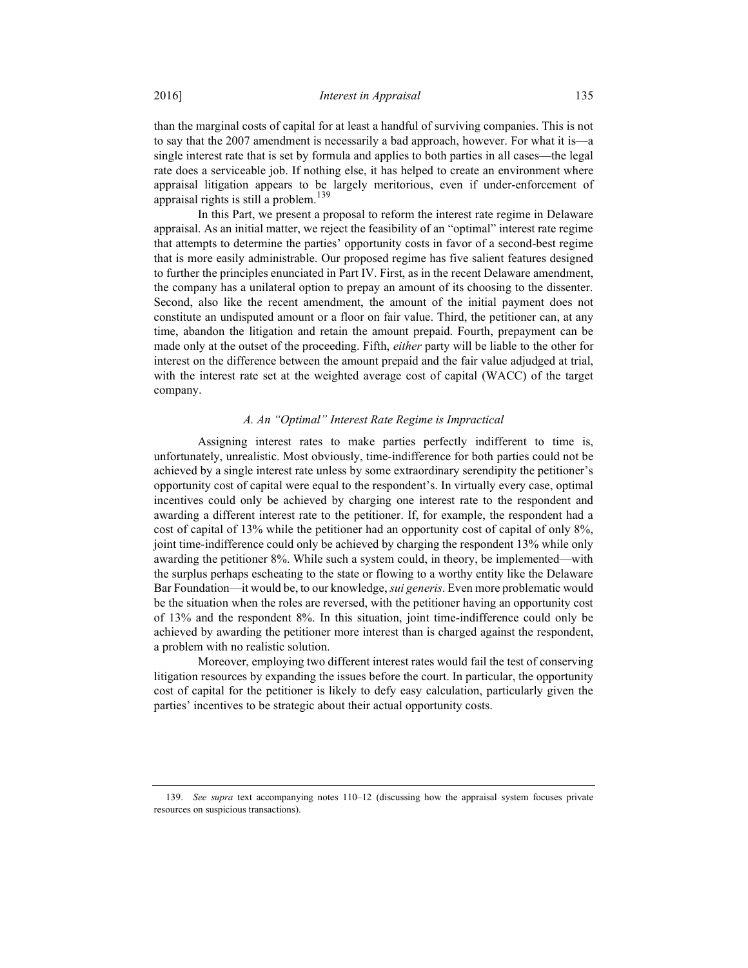than the marginal costs of capital for at least a handful of surviving companies. This is not to say that the 2007 amendment is necessarily a bad approach, however. For what it is—a single interest rate that is set by formula and applies to both parties in all cases—the legal rate does a serviceable job. If nothing else, it has helped to create an environment where appraisal litigation appears to be largely meritorious, even if under-enforcement of appraisal rights is still a problem.<sup>139</sup>

In this Part, we present a proposal to reform the interest rate regime in Delaware appraisal. As an initial matter, we reject the feasibility of an "optimal" interest rate regime that attempts to determine the parties' opportunity costs in favor of a second-best regime that is more easily administrable. Our proposed regime has five salient features designed to further the principles enunciated in Part IV. First, as in the recent Delaware amendment, the company has a unilateral option to prepay an amount of its choosing to the dissenter. Second, also like the recent amendment, the amount of the initial payment does not constitute an undisputed amount or a floor on fair value. Third, the petitioner can, at any time, abandon the litigation and retain the amount prepaid. Fourth, prepayment can be made only at the outset of the proceeding. Fifth, *either* party will be liable to the other for interest on the difference between the amount prepaid and the fair value adjudged at trial, with the interest rate set at the weighted average cost of capital (WACC) of the target company.

#### A. An "Optimal" Interest Rate Regime is Impractical

Assigning interest rates to make parties perfectly indifferent to time is, unfortunately, unrealistic. Most obviously, time-indifference for both parties could not be achieved by a single interest rate unless by some extraordinary serendipity the petitioner's opportunity cost of capital were equal to the respondent's. In virtually every case, optimal incentives could only be achieved by charging one interest rate to the respondent and awarding a different interest rate to the petitioner. If, for example, the respondent had a cost of capital of 13% while the petitioner had an opportunity cost of capital of only 8%, joint time-indifference could only be achieved by charging the respondent 13% while only awarding the petitioner 8%. While such a system could, in theory, be implemented—with the surplus perhaps escheating to the state or flowing to a worthy entity like the Delaware Bar Foundation—it would be, to our knowledge, *sui generis*. Even more problematic would be the situation when the roles are reversed, with the petitioner having an opportunity cost of 13% and the respondent 8%. In this situation, joint time-indifference could only be achieved by awarding the petitioner more interest than is charged against the respondent, a problem with no realistic solution.

Moreover, employing two different interest rates would fail the test of conserving litigation resources by expanding the issues before the court. In particular, the opportunity cost of capital for the petitioner is likely to defy easy calculation, particularly given the parties' incentives to be strategic about their actual opportunity costs.

 <sup>139.</sup> See supra text accompanying notes 110–12 (discussing how the appraisal system focuses private resources on suspicious transactions).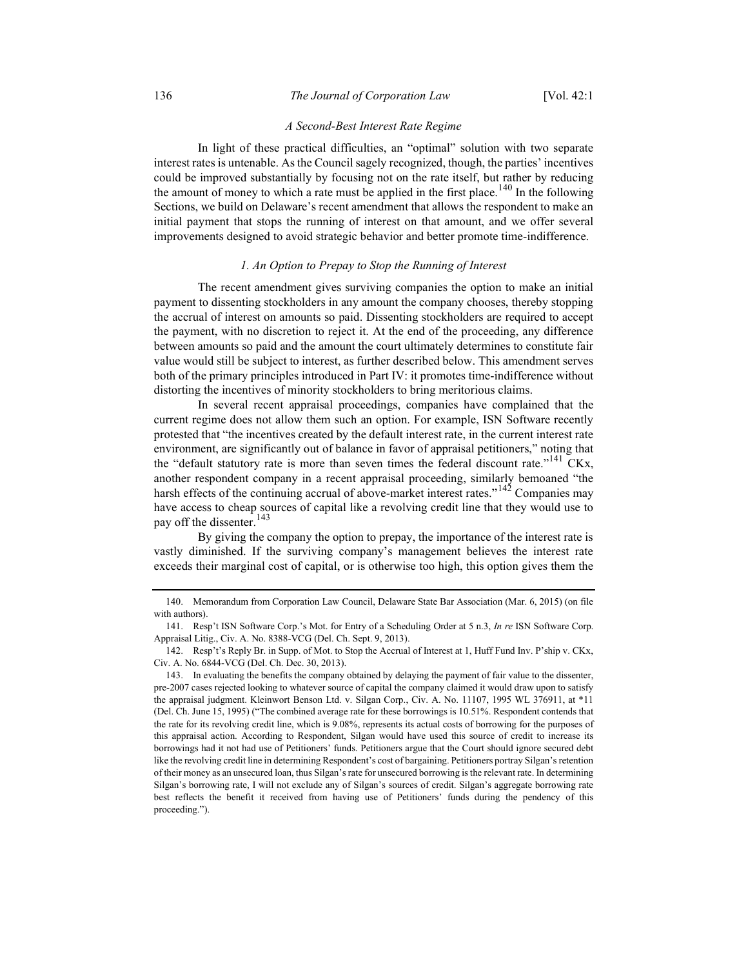## A Second-Best Interest Rate Regime

In light of these practical difficulties, an "optimal" solution with two separate interest rates is untenable. As the Council sagely recognized, though, the parties' incentives could be improved substantially by focusing not on the rate itself, but rather by reducing the amount of money to which a rate must be applied in the first place.<sup>140</sup> In the following Sections, we build on Delaware's recent amendment that allows the respondent to make an initial payment that stops the running of interest on that amount, and we offer several improvements designed to avoid strategic behavior and better promote time-indifference.

## 1. An Option to Prepay to Stop the Running of Interest

The recent amendment gives surviving companies the option to make an initial payment to dissenting stockholders in any amount the company chooses, thereby stopping the accrual of interest on amounts so paid. Dissenting stockholders are required to accept the payment, with no discretion to reject it. At the end of the proceeding, any difference between amounts so paid and the amount the court ultimately determines to constitute fair value would still be subject to interest, as further described below. This amendment serves both of the primary principles introduced in Part IV: it promotes time-indifference without distorting the incentives of minority stockholders to bring meritorious claims.

In several recent appraisal proceedings, companies have complained that the current regime does not allow them such an option. For example, ISN Software recently protested that "the incentives created by the default interest rate, in the current interest rate environment, are significantly out of balance in favor of appraisal petitioners," noting that the "default statutory rate is more than seven times the federal discount rate."<sup>141</sup> CKx, another respondent company in a recent appraisal proceeding, similarly bemoaned "the harsh effects of the continuing accrual of above-market interest rates."<sup>142</sup> Companies may have access to cheap sources of capital like a revolving credit line that they would use to pay off the dissenter.<sup>143</sup>

By giving the company the option to prepay, the importance of the interest rate is vastly diminished. If the surviving company's management believes the interest rate exceeds their marginal cost of capital, or is otherwise too high, this option gives them the

 <sup>140.</sup> Memorandum from Corporation Law Council, Delaware State Bar Association (Mar. 6, 2015) (on file with authors).

 <sup>141.</sup> Resp't ISN Software Corp.'s Mot. for Entry of a Scheduling Order at 5 n.3, In re ISN Software Corp. Appraisal Litig., Civ. A. No. 8388-VCG (Del. Ch. Sept. 9, 2013).

 <sup>142.</sup> Resp't's Reply Br. in Supp. of Mot. to Stop the Accrual of Interest at 1, Huff Fund Inv. P'ship v. CKx, Civ. A. No. 6844-VCG (Del. Ch. Dec. 30, 2013).

 <sup>143.</sup> In evaluating the benefits the company obtained by delaying the payment of fair value to the dissenter, pre-2007 cases rejected looking to whatever source of capital the company claimed it would draw upon to satisfy the appraisal judgment. Kleinwort Benson Ltd. v. Silgan Corp., Civ. A. No. 11107, 1995 WL 376911, at \*11 (Del. Ch. June 15, 1995) ("The combined average rate for these borrowings is 10.51%. Respondent contends that the rate for its revolving credit line, which is 9.08%, represents its actual costs of borrowing for the purposes of this appraisal action. According to Respondent, Silgan would have used this source of credit to increase its borrowings had it not had use of Petitioners' funds. Petitioners argue that the Court should ignore secured debt like the revolving credit line in determining Respondent's cost of bargaining. Petitioners portray Silgan's retention of their money as an unsecured loan, thus Silgan's rate for unsecured borrowing is the relevant rate. In determining Silgan's borrowing rate, I will not exclude any of Silgan's sources of credit. Silgan's aggregate borrowing rate best reflects the benefit it received from having use of Petitioners' funds during the pendency of this proceeding.").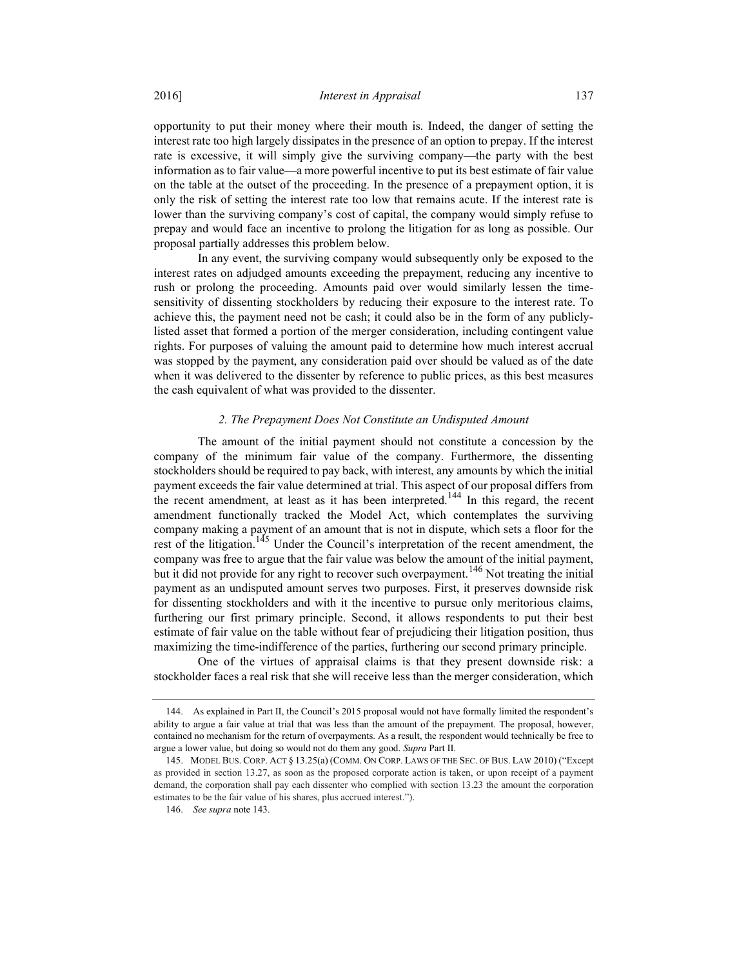opportunity to put their money where their mouth is. Indeed, the danger of setting the interest rate too high largely dissipates in the presence of an option to prepay. If the interest rate is excessive, it will simply give the surviving company—the party with the best information as to fair value—a more powerful incentive to put its best estimate of fair value on the table at the outset of the proceeding. In the presence of a prepayment option, it is only the risk of setting the interest rate too low that remains acute. If the interest rate is lower than the surviving company's cost of capital, the company would simply refuse to prepay and would face an incentive to prolong the litigation for as long as possible. Our proposal partially addresses this problem below.

In any event, the surviving company would subsequently only be exposed to the interest rates on adjudged amounts exceeding the prepayment, reducing any incentive to rush or prolong the proceeding. Amounts paid over would similarly lessen the timesensitivity of dissenting stockholders by reducing their exposure to the interest rate. To achieve this, the payment need not be cash; it could also be in the form of any publiclylisted asset that formed a portion of the merger consideration, including contingent value rights. For purposes of valuing the amount paid to determine how much interest accrual was stopped by the payment, any consideration paid over should be valued as of the date when it was delivered to the dissenter by reference to public prices, as this best measures the cash equivalent of what was provided to the dissenter.

#### 2. The Prepayment Does Not Constitute an Undisputed Amount

The amount of the initial payment should not constitute a concession by the company of the minimum fair value of the company. Furthermore, the dissenting stockholders should be required to pay back, with interest, any amounts by which the initial payment exceeds the fair value determined at trial. This aspect of our proposal differs from the recent amendment, at least as it has been interpreted.<sup>144</sup> In this regard, the recent amendment functionally tracked the Model Act, which contemplates the surviving company making a payment of an amount that is not in dispute, which sets a floor for the rest of the litigation.<sup>145</sup> Under the Council's interpretation of the recent amendment, the company was free to argue that the fair value was below the amount of the initial payment, but it did not provide for any right to recover such overpayment.<sup>146</sup> Not treating the initial payment as an undisputed amount serves two purposes. First, it preserves downside risk for dissenting stockholders and with it the incentive to pursue only meritorious claims, furthering our first primary principle. Second, it allows respondents to put their best estimate of fair value on the table without fear of prejudicing their litigation position, thus maximizing the time-indifference of the parties, furthering our second primary principle.

One of the virtues of appraisal claims is that they present downside risk: a stockholder faces a real risk that she will receive less than the merger consideration, which

 <sup>144.</sup> As explained in Part II, the Council's 2015 proposal would not have formally limited the respondent's ability to argue a fair value at trial that was less than the amount of the prepayment. The proposal, however, contained no mechanism for the return of overpayments. As a result, the respondent would technically be free to argue a lower value, but doing so would not do them any good. Supra Part II.

 <sup>145.</sup> MODEL BUS. CORP. ACT § 13.25(a) (COMM. ON CORP. LAWS OF THE SEC. OF BUS. LAW 2010) ("Except as provided in section 13.27, as soon as the proposed corporate action is taken, or upon receipt of a payment demand, the corporation shall pay each dissenter who complied with section 13.23 the amount the corporation estimates to be the fair value of his shares, plus accrued interest.").

 <sup>146.</sup> See supra note 143.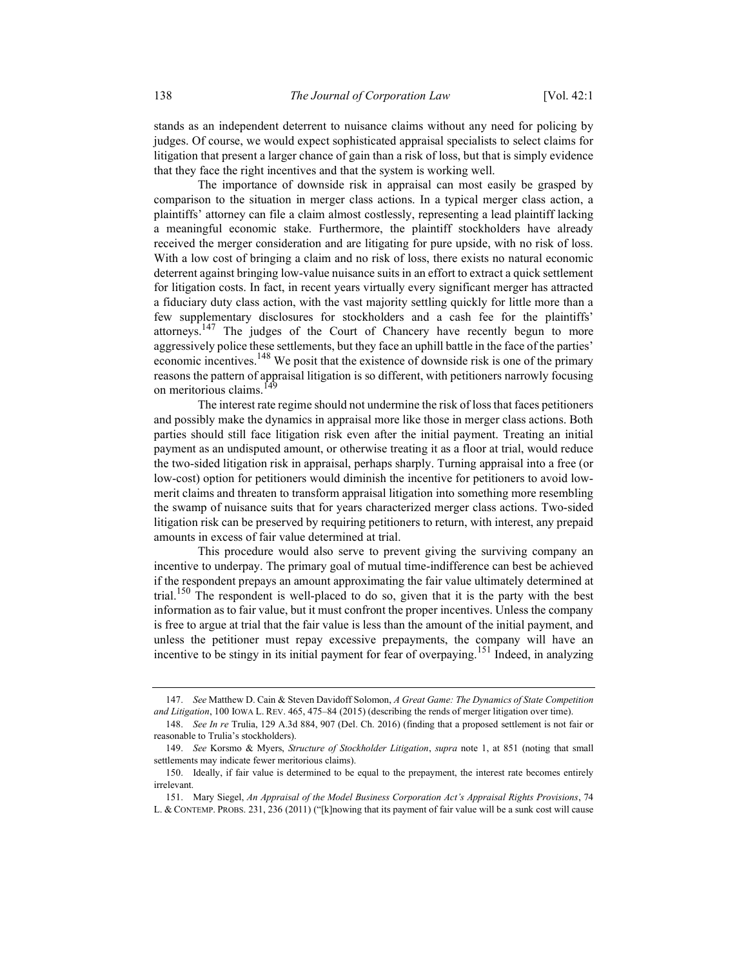stands as an independent deterrent to nuisance claims without any need for policing by judges. Of course, we would expect sophisticated appraisal specialists to select claims for litigation that present a larger chance of gain than a risk of loss, but that is simply evidence that they face the right incentives and that the system is working well.

The importance of downside risk in appraisal can most easily be grasped by comparison to the situation in merger class actions. In a typical merger class action, a plaintiffs' attorney can file a claim almost costlessly, representing a lead plaintiff lacking a meaningful economic stake. Furthermore, the plaintiff stockholders have already received the merger consideration and are litigating for pure upside, with no risk of loss. With a low cost of bringing a claim and no risk of loss, there exists no natural economic deterrent against bringing low-value nuisance suits in an effort to extract a quick settlement for litigation costs. In fact, in recent years virtually every significant merger has attracted a fiduciary duty class action, with the vast majority settling quickly for little more than a few supplementary disclosures for stockholders and a cash fee for the plaintiffs' attorneys.<sup>147</sup> The judges of the Court of Chancery have recently begun to more aggressively police these settlements, but they face an uphill battle in the face of the parties' economic incentives.<sup>148</sup> We posit that the existence of downside risk is one of the primary reasons the pattern of appraisal litigation is so different, with petitioners narrowly focusing on meritorious claims.<sup>1</sup>

The interest rate regime should not undermine the risk of loss that faces petitioners and possibly make the dynamics in appraisal more like those in merger class actions. Both parties should still face litigation risk even after the initial payment. Treating an initial payment as an undisputed amount, or otherwise treating it as a floor at trial, would reduce the two-sided litigation risk in appraisal, perhaps sharply. Turning appraisal into a free (or low-cost) option for petitioners would diminish the incentive for petitioners to avoid lowmerit claims and threaten to transform appraisal litigation into something more resembling the swamp of nuisance suits that for years characterized merger class actions. Two-sided litigation risk can be preserved by requiring petitioners to return, with interest, any prepaid amounts in excess of fair value determined at trial.

This procedure would also serve to prevent giving the surviving company an incentive to underpay. The primary goal of mutual time-indifference can best be achieved if the respondent prepays an amount approximating the fair value ultimately determined at trial.<sup>150</sup> The respondent is well-placed to do so, given that it is the party with the best information as to fair value, but it must confront the proper incentives. Unless the company is free to argue at trial that the fair value is less than the amount of the initial payment, and unless the petitioner must repay excessive prepayments, the company will have an incentive to be stingy in its initial payment for fear of overpaying.<sup>151</sup> Indeed, in analyzing

<sup>147.</sup> See Matthew D. Cain & Steven Davidoff Solomon, A Great Game: The Dynamics of State Competition and Litigation, 100 IOWA L. REV. 465, 475–84 (2015) (describing the rends of merger litigation over time).

 <sup>148.</sup> See In re Trulia, 129 A.3d 884, 907 (Del. Ch. 2016) (finding that a proposed settlement is not fair or reasonable to Trulia's stockholders).

 <sup>149.</sup> See Korsmo & Myers, Structure of Stockholder Litigation, supra note 1, at 851 (noting that small settlements may indicate fewer meritorious claims).

 <sup>150.</sup> Ideally, if fair value is determined to be equal to the prepayment, the interest rate becomes entirely irrelevant.

 <sup>151.</sup> Mary Siegel, An Appraisal of the Model Business Corporation Act's Appraisal Rights Provisions, 74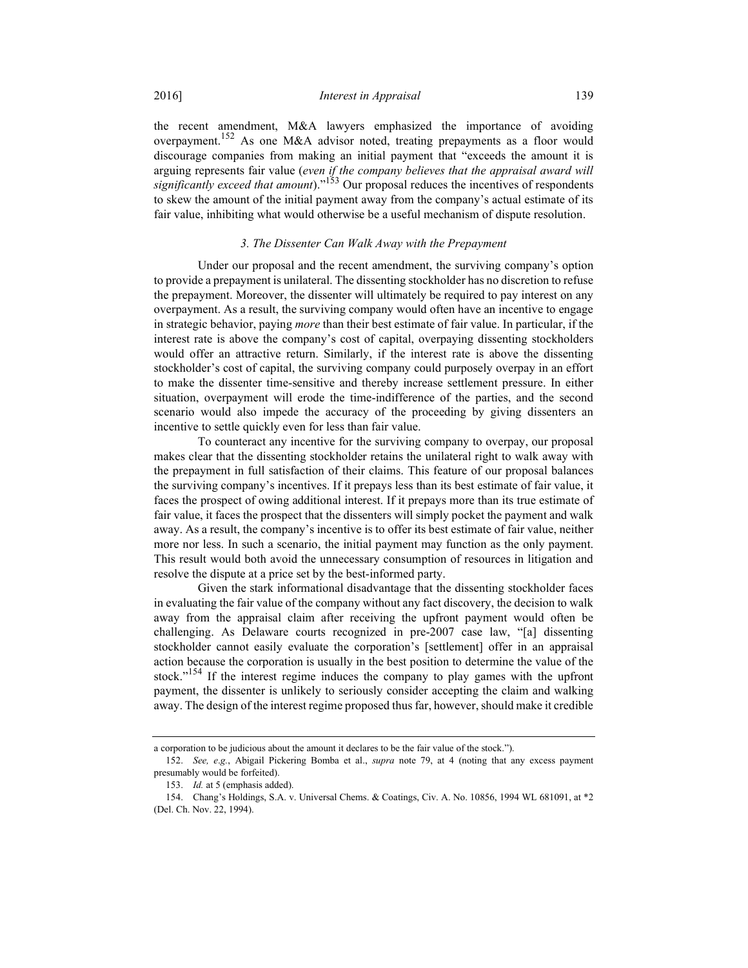the recent amendment, M&A lawyers emphasized the importance of avoiding overpayment.<sup>152</sup> As one M&A advisor noted, treating prepayments as a floor would discourage companies from making an initial payment that "exceeds the amount it is arguing represents fair value (even if the company believes that the appraisal award will significantly exceed that amount)."<sup>153</sup> Our proposal reduces the incentives of respondents to skew the amount of the initial payment away from the company's actual estimate of its fair value, inhibiting what would otherwise be a useful mechanism of dispute resolution.

#### 3. The Dissenter Can Walk Away with the Prepayment

Under our proposal and the recent amendment, the surviving company's option to provide a prepayment is unilateral. The dissenting stockholder has no discretion to refuse the prepayment. Moreover, the dissenter will ultimately be required to pay interest on any overpayment. As a result, the surviving company would often have an incentive to engage in strategic behavior, paying more than their best estimate of fair value. In particular, if the interest rate is above the company's cost of capital, overpaying dissenting stockholders would offer an attractive return. Similarly, if the interest rate is above the dissenting stockholder's cost of capital, the surviving company could purposely overpay in an effort to make the dissenter time-sensitive and thereby increase settlement pressure. In either situation, overpayment will erode the time-indifference of the parties, and the second scenario would also impede the accuracy of the proceeding by giving dissenters an incentive to settle quickly even for less than fair value.

To counteract any incentive for the surviving company to overpay, our proposal makes clear that the dissenting stockholder retains the unilateral right to walk away with the prepayment in full satisfaction of their claims. This feature of our proposal balances the surviving company's incentives. If it prepays less than its best estimate of fair value, it faces the prospect of owing additional interest. If it prepays more than its true estimate of fair value, it faces the prospect that the dissenters will simply pocket the payment and walk away. As a result, the company's incentive is to offer its best estimate of fair value, neither more nor less. In such a scenario, the initial payment may function as the only payment. This result would both avoid the unnecessary consumption of resources in litigation and resolve the dispute at a price set by the best-informed party.

Given the stark informational disadvantage that the dissenting stockholder faces in evaluating the fair value of the company without any fact discovery, the decision to walk away from the appraisal claim after receiving the upfront payment would often be challenging. As Delaware courts recognized in pre-2007 case law, "[a] dissenting stockholder cannot easily evaluate the corporation's [settlement] offer in an appraisal action because the corporation is usually in the best position to determine the value of the stock."<sup>154</sup> If the interest regime induces the company to play games with the upfront payment, the dissenter is unlikely to seriously consider accepting the claim and walking away. The design of the interest regime proposed thus far, however, should make it credible

a corporation to be judicious about the amount it declares to be the fair value of the stock.").

 <sup>152.</sup> See, e.g., Abigail Pickering Bomba et al., supra note 79, at 4 (noting that any excess payment presumably would be forfeited).

 <sup>153.</sup> Id. at 5 (emphasis added).

 <sup>154.</sup> Chang's Holdings, S.A. v. Universal Chems. & Coatings, Civ. A. No. 10856, 1994 WL 681091, at \*2 (Del. Ch. Nov. 22, 1994).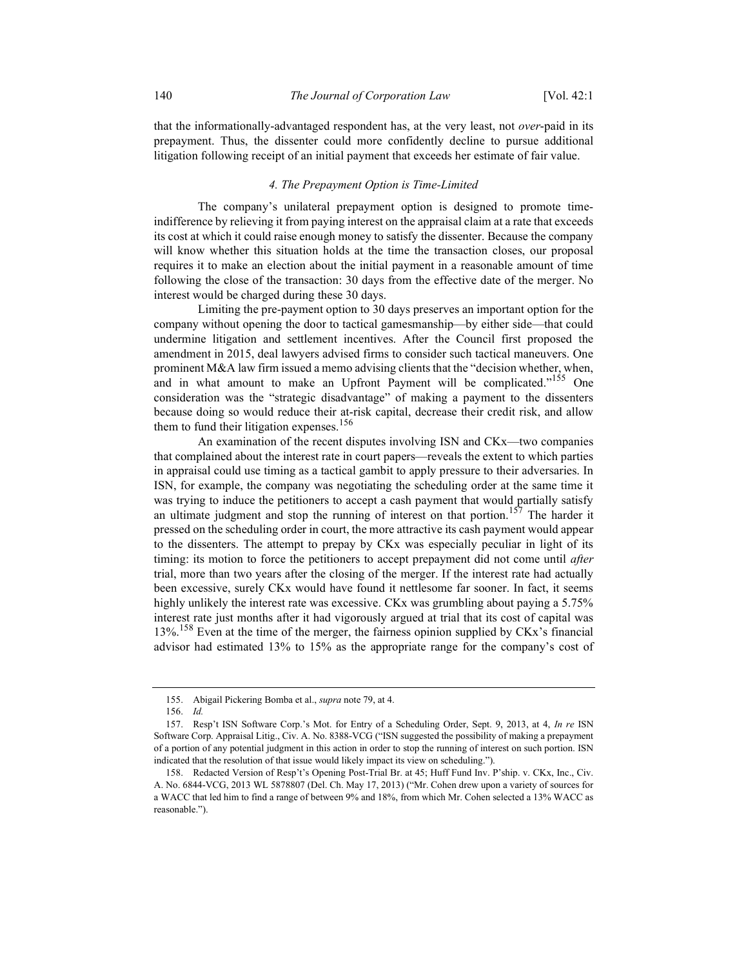that the informationally-advantaged respondent has, at the very least, not over-paid in its prepayment. Thus, the dissenter could more confidently decline to pursue additional litigation following receipt of an initial payment that exceeds her estimate of fair value.

## 4. The Prepayment Option is Time-Limited

The company's unilateral prepayment option is designed to promote timeindifference by relieving it from paying interest on the appraisal claim at a rate that exceeds its cost at which it could raise enough money to satisfy the dissenter. Because the company will know whether this situation holds at the time the transaction closes, our proposal requires it to make an election about the initial payment in a reasonable amount of time following the close of the transaction: 30 days from the effective date of the merger. No interest would be charged during these 30 days.

Limiting the pre-payment option to 30 days preserves an important option for the company without opening the door to tactical gamesmanship—by either side—that could undermine litigation and settlement incentives. After the Council first proposed the amendment in 2015, deal lawyers advised firms to consider such tactical maneuvers. One prominent M&A law firm issued a memo advising clients that the "decision whether, when, and in what amount to make an Upfront Payment will be complicated."<sup>155</sup> One consideration was the "strategic disadvantage" of making a payment to the dissenters because doing so would reduce their at-risk capital, decrease their credit risk, and allow them to fund their litigation expenses.<sup>156</sup>

An examination of the recent disputes involving ISN and CKx—two companies that complained about the interest rate in court papers—reveals the extent to which parties in appraisal could use timing as a tactical gambit to apply pressure to their adversaries. In ISN, for example, the company was negotiating the scheduling order at the same time it was trying to induce the petitioners to accept a cash payment that would partially satisfy an ultimate judgment and stop the running of interest on that portion.<sup>157</sup> The harder it pressed on the scheduling order in court, the more attractive its cash payment would appear to the dissenters. The attempt to prepay by CKx was especially peculiar in light of its timing: its motion to force the petitioners to accept prepayment did not come until *after* trial, more than two years after the closing of the merger. If the interest rate had actually been excessive, surely CKx would have found it nettlesome far sooner. In fact, it seems highly unlikely the interest rate was excessive. CKx was grumbling about paying a 5.75% interest rate just months after it had vigorously argued at trial that its cost of capital was 13%.<sup>158</sup> Even at the time of the merger, the fairness opinion supplied by CKx's financial advisor had estimated 13% to 15% as the appropriate range for the company's cost of

 <sup>155.</sup> Abigail Pickering Bomba et al., supra note 79, at 4.

 <sup>156.</sup> Id.

<sup>157.</sup> Resp't ISN Software Corp.'s Mot. for Entry of a Scheduling Order, Sept. 9, 2013, at 4, In re ISN Software Corp. Appraisal Litig., Civ. A. No. 8388-VCG ("ISN suggested the possibility of making a prepayment of a portion of any potential judgment in this action in order to stop the running of interest on such portion. ISN indicated that the resolution of that issue would likely impact its view on scheduling.").

 <sup>158.</sup> Redacted Version of Resp't's Opening Post-Trial Br. at 45; Huff Fund Inv. P'ship. v. CKx, Inc., Civ. A. No. 6844-VCG, 2013 WL 5878807 (Del. Ch. May 17, 2013) ("Mr. Cohen drew upon a variety of sources for a WACC that led him to find a range of between 9% and 18%, from which Mr. Cohen selected a 13% WACC as reasonable.").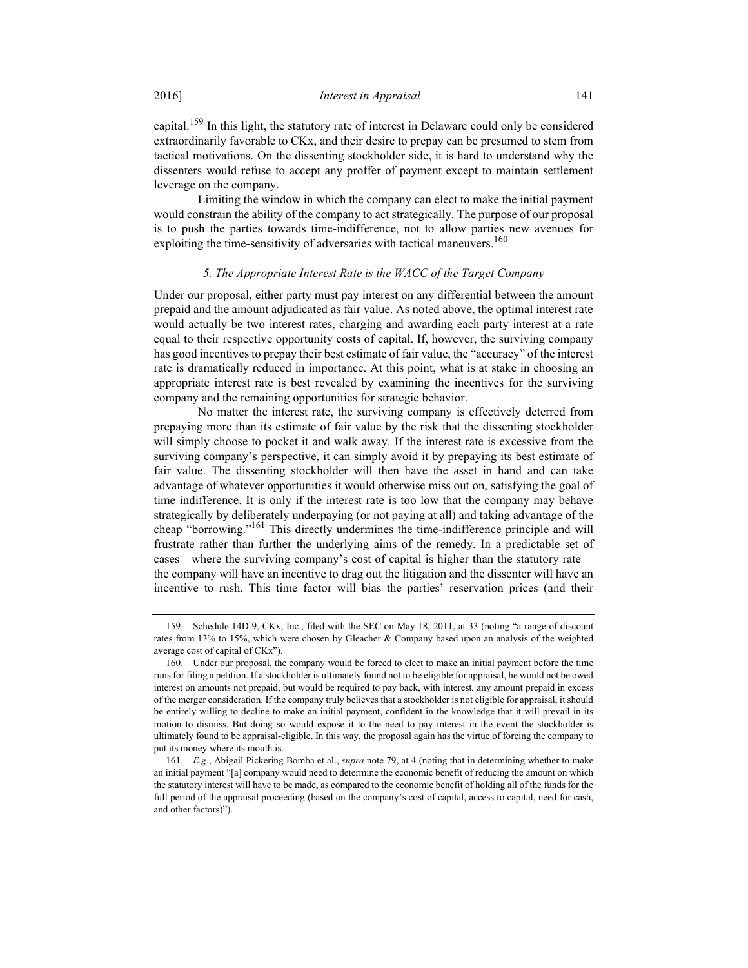capital.<sup>159</sup> In this light, the statutory rate of interest in Delaware could only be considered extraordinarily favorable to CKx, and their desire to prepay can be presumed to stem from tactical motivations. On the dissenting stockholder side, it is hard to understand why the dissenters would refuse to accept any proffer of payment except to maintain settlement leverage on the company.

Limiting the window in which the company can elect to make the initial payment would constrain the ability of the company to act strategically. The purpose of our proposal is to push the parties towards time-indifference, not to allow parties new avenues for exploiting the time-sensitivity of adversaries with tactical maneuvers.<sup>160</sup>

## 5. The Appropriate Interest Rate is the WACC of the Target Company

Under our proposal, either party must pay interest on any differential between the amount prepaid and the amount adjudicated as fair value. As noted above, the optimal interest rate would actually be two interest rates, charging and awarding each party interest at a rate equal to their respective opportunity costs of capital. If, however, the surviving company has good incentives to prepay their best estimate of fair value, the "accuracy" of the interest rate is dramatically reduced in importance. At this point, what is at stake in choosing an appropriate interest rate is best revealed by examining the incentives for the surviving company and the remaining opportunities for strategic behavior.

No matter the interest rate, the surviving company is effectively deterred from prepaying more than its estimate of fair value by the risk that the dissenting stockholder will simply choose to pocket it and walk away. If the interest rate is excessive from the surviving company's perspective, it can simply avoid it by prepaying its best estimate of fair value. The dissenting stockholder will then have the asset in hand and can take advantage of whatever opportunities it would otherwise miss out on, satisfying the goal of time indifference. It is only if the interest rate is too low that the company may behave strategically by deliberately underpaying (or not paying at all) and taking advantage of the cheap "borrowing."<sup>161</sup> This directly undermines the time-indifference principle and will frustrate rather than further the underlying aims of the remedy. In a predictable set of cases—where the surviving company's cost of capital is higher than the statutory rate the company will have an incentive to drag out the litigation and the dissenter will have an incentive to rush. This time factor will bias the parties' reservation prices (and their

 <sup>159.</sup> Schedule 14D-9, CKx, Inc., filed with the SEC on May 18, 2011, at 33 (noting "a range of discount rates from 13% to 15%, which were chosen by Gleacher & Company based upon an analysis of the weighted average cost of capital of CKx").

 <sup>160.</sup> Under our proposal, the company would be forced to elect to make an initial payment before the time runs for filing a petition. If a stockholder is ultimately found not to be eligible for appraisal, he would not be owed interest on amounts not prepaid, but would be required to pay back, with interest, any amount prepaid in excess of the merger consideration. If the company truly believes that a stockholder is not eligible for appraisal, it should be entirely willing to decline to make an initial payment, confident in the knowledge that it will prevail in its motion to dismiss. But doing so would expose it to the need to pay interest in the event the stockholder is ultimately found to be appraisal-eligible. In this way, the proposal again has the virtue of forcing the company to put its money where its mouth is.

 <sup>161.</sup> E.g., Abigail Pickering Bomba et al., supra note 79, at 4 (noting that in determining whether to make an initial payment "[a] company would need to determine the economic benefit of reducing the amount on which the statutory interest will have to be made, as compared to the economic benefit of holding all of the funds for the full period of the appraisal proceeding (based on the company's cost of capital, access to capital, need for cash, and other factors)").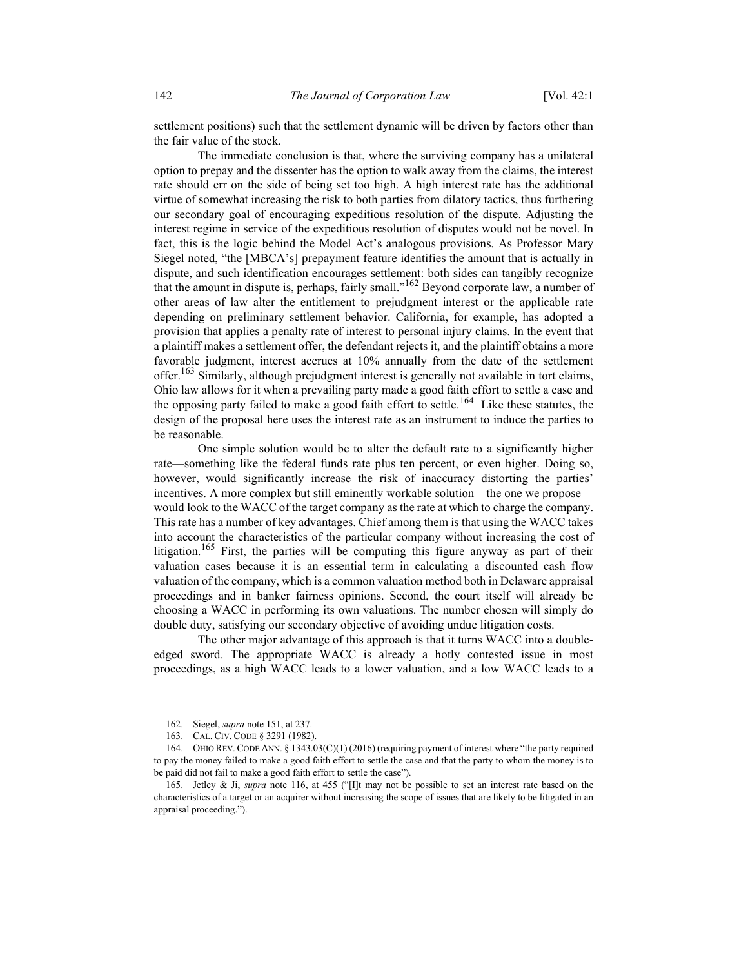settlement positions) such that the settlement dynamic will be driven by factors other than the fair value of the stock.

The immediate conclusion is that, where the surviving company has a unilateral option to prepay and the dissenter has the option to walk away from the claims, the interest rate should err on the side of being set too high. A high interest rate has the additional virtue of somewhat increasing the risk to both parties from dilatory tactics, thus furthering our secondary goal of encouraging expeditious resolution of the dispute. Adjusting the interest regime in service of the expeditious resolution of disputes would not be novel. In fact, this is the logic behind the Model Act's analogous provisions. As Professor Mary Siegel noted, "the [MBCA's] prepayment feature identifies the amount that is actually in dispute, and such identification encourages settlement: both sides can tangibly recognize that the amount in dispute is, perhaps, fairly small."162 Beyond corporate law, a number of other areas of law alter the entitlement to prejudgment interest or the applicable rate depending on preliminary settlement behavior. California, for example, has adopted a provision that applies a penalty rate of interest to personal injury claims. In the event that a plaintiff makes a settlement offer, the defendant rejects it, and the plaintiff obtains a more favorable judgment, interest accrues at 10% annually from the date of the settlement offer.<sup>163</sup> Similarly, although prejudgment interest is generally not available in tort claims, Ohio law allows for it when a prevailing party made a good faith effort to settle a case and the opposing party failed to make a good faith effort to settle.<sup>164</sup> Like these statutes, the design of the proposal here uses the interest rate as an instrument to induce the parties to be reasonable.

One simple solution would be to alter the default rate to a significantly higher rate—something like the federal funds rate plus ten percent, or even higher. Doing so, however, would significantly increase the risk of inaccuracy distorting the parties' incentives. A more complex but still eminently workable solution—the one we propose would look to the WACC of the target company as the rate at which to charge the company. This rate has a number of key advantages. Chief among them is that using the WACC takes into account the characteristics of the particular company without increasing the cost of litigation.<sup>165</sup> First, the parties will be computing this figure anyway as part of their valuation cases because it is an essential term in calculating a discounted cash flow valuation of the company, which is a common valuation method both in Delaware appraisal proceedings and in banker fairness opinions. Second, the court itself will already be choosing a WACC in performing its own valuations. The number chosen will simply do double duty, satisfying our secondary objective of avoiding undue litigation costs.

The other major advantage of this approach is that it turns WACC into a doubleedged sword. The appropriate WACC is already a hotly contested issue in most proceedings, as a high WACC leads to a lower valuation, and a low WACC leads to a

 <sup>162.</sup> Siegel, supra note 151, at 237.

 <sup>163.</sup> CAL. CIV. CODE § 3291 (1982).

 <sup>164.</sup> OHIO REV. CODE ANN. § 1343.03(C)(1) (2016) (requiring payment of interest where "the party required to pay the money failed to make a good faith effort to settle the case and that the party to whom the money is to be paid did not fail to make a good faith effort to settle the case").

 <sup>165.</sup> Jetley & Ji, supra note 116, at 455 ("[I]t may not be possible to set an interest rate based on the characteristics of a target or an acquirer without increasing the scope of issues that are likely to be litigated in an appraisal proceeding.").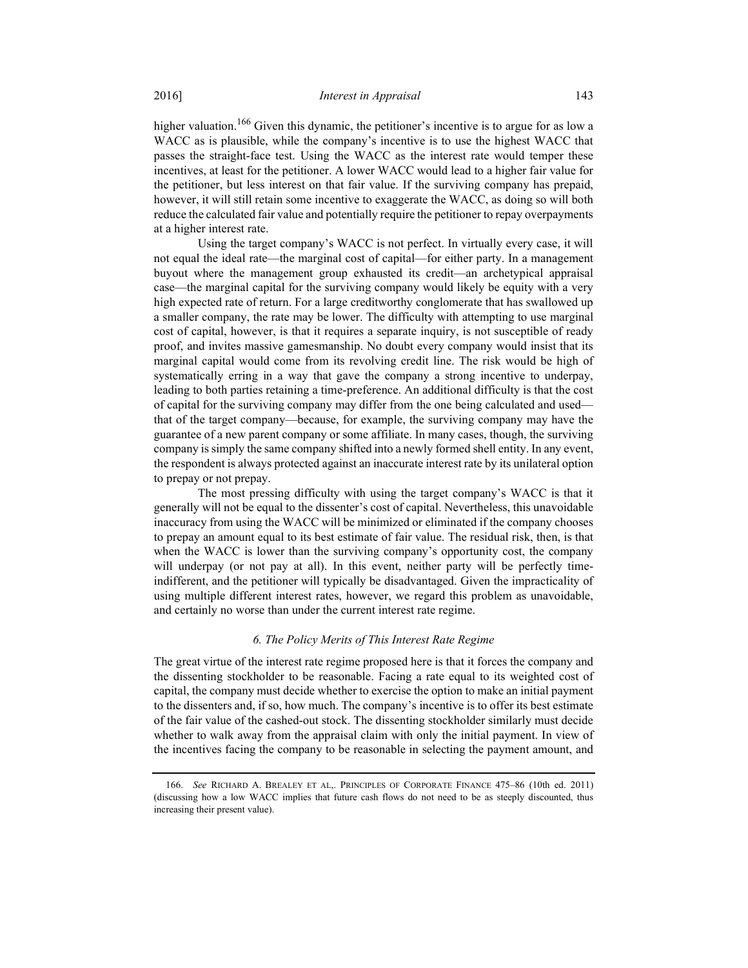higher valuation.<sup>166</sup> Given this dynamic, the petitioner's incentive is to argue for as low a WACC as is plausible, while the company's incentive is to use the highest WACC that passes the straight-face test. Using the WACC as the interest rate would temper these incentives, at least for the petitioner. A lower WACC would lead to a higher fair value for the petitioner, but less interest on that fair value. If the surviving company has prepaid, however, it will still retain some incentive to exaggerate the WACC, as doing so will both reduce the calculated fair value and potentially require the petitioner to repay overpayments at a higher interest rate.

Using the target company's WACC is not perfect. In virtually every case, it will not equal the ideal rate—the marginal cost of capital—for either party. In a management buyout where the management group exhausted its credit—an archetypical appraisal case—the marginal capital for the surviving company would likely be equity with a very high expected rate of return. For a large creditworthy conglomerate that has swallowed up a smaller company, the rate may be lower. The difficulty with attempting to use marginal cost of capital, however, is that it requires a separate inquiry, is not susceptible of ready proof, and invites massive gamesmanship. No doubt every company would insist that its marginal capital would come from its revolving credit line. The risk would be high of systematically erring in a way that gave the company a strong incentive to underpay, leading to both parties retaining a time-preference. An additional difficulty is that the cost of capital for the surviving company may differ from the one being calculated and used that of the target company—because, for example, the surviving company may have the guarantee of a new parent company or some affiliate. In many cases, though, the surviving company is simply the same company shifted into a newly formed shell entity. In any event, the respondent is always protected against an inaccurate interest rate by its unilateral option to prepay or not prepay.

The most pressing difficulty with using the target company's WACC is that it generally will not be equal to the dissenter's cost of capital. Nevertheless, this unavoidable inaccuracy from using the WACC will be minimized or eliminated if the company chooses to prepay an amount equal to its best estimate of fair value. The residual risk, then, is that when the WACC is lower than the surviving company's opportunity cost, the company will underpay (or not pay at all). In this event, neither party will be perfectly timeindifferent, and the petitioner will typically be disadvantaged. Given the impracticality of using multiple different interest rates, however, we regard this problem as unavoidable, and certainly no worse than under the current interest rate regime.

# 6. The Policy Merits of This Interest Rate Regime

The great virtue of the interest rate regime proposed here is that it forces the company and the dissenting stockholder to be reasonable. Facing a rate equal to its weighted cost of capital, the company must decide whether to exercise the option to make an initial payment to the dissenters and, if so, how much. The company's incentive is to offer its best estimate of the fair value of the cashed-out stock. The dissenting stockholder similarly must decide whether to walk away from the appraisal claim with only the initial payment. In view of the incentives facing the company to be reasonable in selecting the payment amount, and

 <sup>166.</sup> See RICHARD A. BREALEY ET AL,. PRINCIPLES OF CORPORATE FINANCE 475–86 (10th ed. 2011) (discussing how a low WACC implies that future cash flows do not need to be as steeply discounted, thus increasing their present value).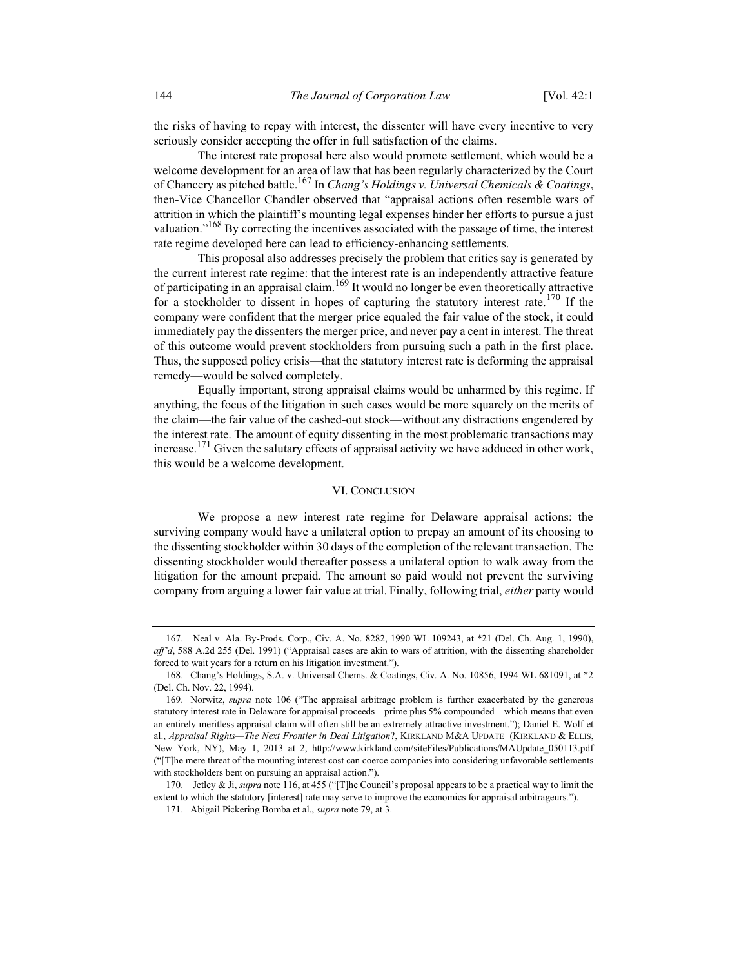the risks of having to repay with interest, the dissenter will have every incentive to very seriously consider accepting the offer in full satisfaction of the claims.

The interest rate proposal here also would promote settlement, which would be a welcome development for an area of law that has been regularly characterized by the Court of Chancery as pitched battle.<sup>167</sup> In *Chang's Holdings v. Universal Chemicals & Coatings*, then-Vice Chancellor Chandler observed that "appraisal actions often resemble wars of attrition in which the plaintiff's mounting legal expenses hinder her efforts to pursue a just valuation."<sup>168</sup> By correcting the incentives associated with the passage of time, the interest rate regime developed here can lead to efficiency-enhancing settlements.

This proposal also addresses precisely the problem that critics say is generated by the current interest rate regime: that the interest rate is an independently attractive feature of participating in an appraisal claim.<sup>169</sup> It would no longer be even theoretically attractive for a stockholder to dissent in hopes of capturing the statutory interest rate.<sup>170</sup> If the company were confident that the merger price equaled the fair value of the stock, it could immediately pay the dissenters the merger price, and never pay a cent in interest. The threat of this outcome would prevent stockholders from pursuing such a path in the first place. Thus, the supposed policy crisis—that the statutory interest rate is deforming the appraisal remedy—would be solved completely.

Equally important, strong appraisal claims would be unharmed by this regime. If anything, the focus of the litigation in such cases would be more squarely on the merits of the claim—the fair value of the cashed-out stock—without any distractions engendered by the interest rate. The amount of equity dissenting in the most problematic transactions may increase.<sup>171</sup> Given the salutary effects of appraisal activity we have adduced in other work, this would be a welcome development.

#### VI. CONCLUSION

We propose a new interest rate regime for Delaware appraisal actions: the surviving company would have a unilateral option to prepay an amount of its choosing to the dissenting stockholder within 30 days of the completion of the relevant transaction. The dissenting stockholder would thereafter possess a unilateral option to walk away from the litigation for the amount prepaid. The amount so paid would not prevent the surviving company from arguing a lower fair value at trial. Finally, following trial, either party would

 <sup>167.</sup> Neal v. Ala. By-Prods. Corp., Civ. A. No. 8282, 1990 WL 109243, at \*21 (Del. Ch. Aug. 1, 1990), aff'd, 588 A.2d 255 (Del. 1991) ("Appraisal cases are akin to wars of attrition, with the dissenting shareholder forced to wait years for a return on his litigation investment.").

 <sup>168.</sup> Chang's Holdings, S.A. v. Universal Chems. & Coatings, Civ. A. No. 10856, 1994 WL 681091, at \*2 (Del. Ch. Nov. 22, 1994).

 <sup>169.</sup> Norwitz, supra note 106 ("The appraisal arbitrage problem is further exacerbated by the generous statutory interest rate in Delaware for appraisal proceeds—prime plus 5% compounded—which means that even an entirely meritless appraisal claim will often still be an extremely attractive investment."); Daniel E. Wolf et al., Appraisal Rights-The Next Frontier in Deal Litigation?, KIRKLAND M&A UPDATE (KIRKLAND & ELLIS, New York, NY), May 1, 2013 at 2, http://www.kirkland.com/siteFiles/Publications/MAUpdate\_050113.pdf ("[T]he mere threat of the mounting interest cost can coerce companies into considering unfavorable settlements with stockholders bent on pursuing an appraisal action.").

<sup>170.</sup> Jetley & Ji, supra note 116, at 455 ("[T]he Council's proposal appears to be a practical way to limit the extent to which the statutory [interest] rate may serve to improve the economics for appraisal arbitrageurs.").

 <sup>171.</sup> Abigail Pickering Bomba et al., supra note 79, at 3.